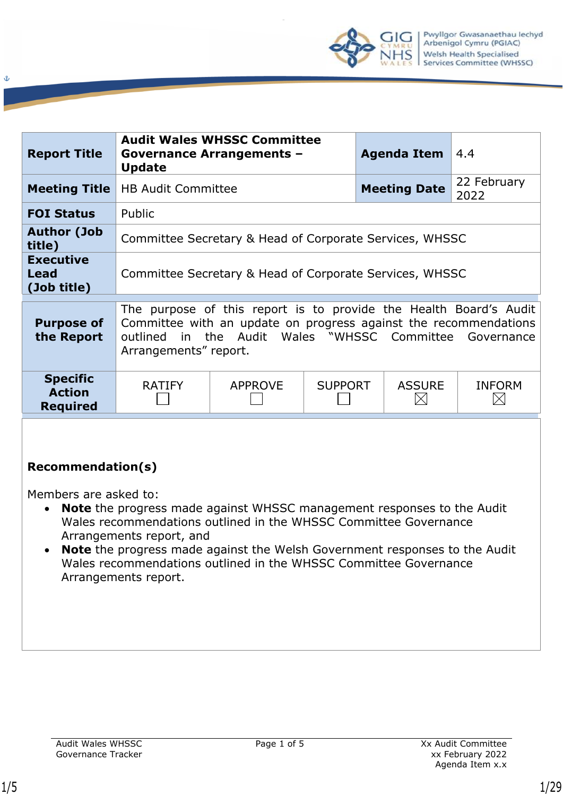

| <b>Report Title</b>                                 | <b>Update</b>                                           | <b>Audit Wales WHSSC Committee</b><br><b>Governance Arrangements -</b>                                                                                                                  |                | <b>Agenda Item</b> | 4.4                 |                           |  |
|-----------------------------------------------------|---------------------------------------------------------|-----------------------------------------------------------------------------------------------------------------------------------------------------------------------------------------|----------------|--------------------|---------------------|---------------------------|--|
| <b>Meeting Title</b>                                | <b>HB Audit Committee</b>                               |                                                                                                                                                                                         |                |                    | <b>Meeting Date</b> | 22 February<br>2022       |  |
| <b>FOI Status</b>                                   | Public                                                  |                                                                                                                                                                                         |                |                    |                     |                           |  |
| <b>Author (Job</b><br>title)                        | Committee Secretary & Head of Corporate Services, WHSSC |                                                                                                                                                                                         |                |                    |                     |                           |  |
| <b>Executive</b><br>Lead<br>(Job title)             | Committee Secretary & Head of Corporate Services, WHSSC |                                                                                                                                                                                         |                |                    |                     |                           |  |
| <b>Purpose of</b><br>the Report                     | outlined<br>Arrangements" report.                       | The purpose of this report is to provide the Health Board's Audit<br>Committee with an update on progress against the recommendations<br>in the Audit Wales "WHSSC Committee Governance |                |                    |                     |                           |  |
| <b>Specific</b><br><b>Action</b><br><b>Required</b> | <b>RATIFY</b>                                           | <b>APPROVE</b>                                                                                                                                                                          | <b>SUPPORT</b> |                    | <b>ASSURE</b>       | <b>INFORM</b><br>$\times$ |  |
|                                                     |                                                         |                                                                                                                                                                                         |                |                    |                     |                           |  |

### **Recommendation(s)**

Members are asked to:

- **Note** the progress made against WHSSC management responses to the Audit Wales recommendations outlined in the WHSSC Committee Governance Arrangements report, and
- **Note** the progress made against the Welsh Government responses to the Audit Wales recommendations outlined in the WHSSC Committee Governance Arrangements report.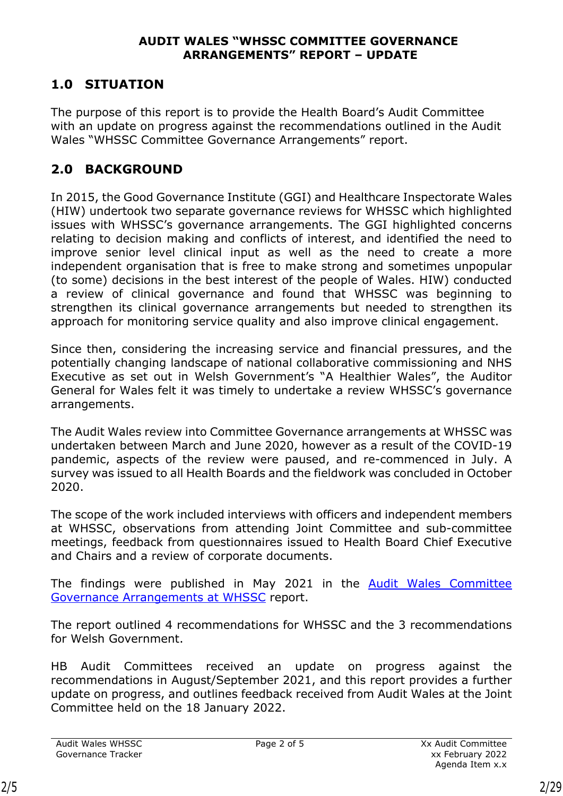#### **AUDIT WALES "WHSSC COMMITTEE GOVERNANCE ARRANGEMENTS" REPORT – UPDATE**

# **1.0 SITUATION**

The purpose of this report is to provide the Health Board's Audit Committee with an update on progress against the recommendations outlined in the Audit Wales "WHSSC Committee Governance Arrangements" report.

# **2.0 BACKGROUND**

In 2015, the Good Governance Institute (GGI) and Healthcare Inspectorate Wales (HIW) undertook two separate governance reviews for WHSSC which highlighted issues with WHSSC's governance arrangements. The GGI highlighted concerns relating to decision making and conflicts of interest, and identified the need to improve senior level clinical input as well as the need to create a more independent organisation that is free to make strong and sometimes unpopular (to some) decisions in the best interest of the people of Wales. HIW) conducted a review of clinical governance and found that WHSSC was beginning to strengthen its clinical governance arrangements but needed to strengthen its approach for monitoring service quality and also improve clinical engagement.

Since then, considering the increasing service and financial pressures, and the potentially changing landscape of national collaborative commissioning and NHS Executive as set out in Welsh Government's "A Healthier Wales", the Auditor General for Wales felt it was timely to undertake a review WHSSC's governance arrangements.

The Audit Wales review into Committee Governance arrangements at WHSSC was undertaken between March and June 2020, however as a result of the COVID-19 pandemic, aspects of the review were paused, and re-commenced in July. A survey was issued to all Health Boards and the fieldwork was concluded in October 2020.

The scope of the work included interviews with officers and independent members at WHSSC, observations from attending Joint Committee and sub-committee meetings, feedback from questionnaires issued to Health Board Chief Executive and Chairs and a review of corporate documents.

The findings were published in May 2021 in the [Audit Wales Committee](https://audit.wales/sites/default/files/publications/WHSSC-Eng.pdf)  [Governance Arrangements at WHSSC](https://audit.wales/sites/default/files/publications/WHSSC-Eng.pdf) report.

The report outlined 4 recommendations for WHSSC and the 3 recommendations for Welsh Government.

HB Audit Committees received an update on progress against the recommendations in August/September 2021, and this report provides a further update on progress, and outlines feedback received from Audit Wales at the Joint Committee held on the 18 January 2022.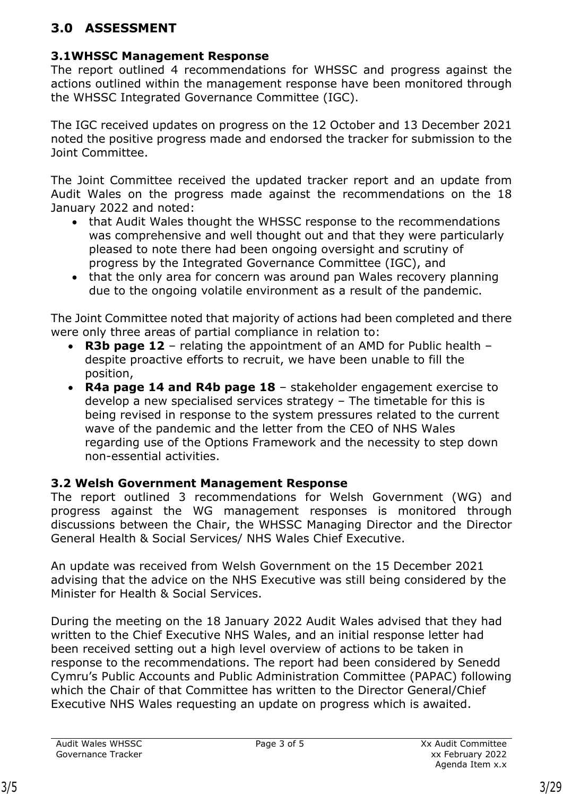# **3.0 ASSESSMENT**

## **3.1WHSSC Management Response**

The report outlined 4 recommendations for WHSSC and progress against the actions outlined within the management response have been monitored through the WHSSC Integrated Governance Committee (IGC).

The IGC received updates on progress on the 12 October and 13 December 2021 noted the positive progress made and endorsed the tracker for submission to the Joint Committee.

The Joint Committee received the updated tracker report and an update from Audit Wales on the progress made against the recommendations on the 18 January 2022 and noted:

- that Audit Wales thought the WHSSC response to the recommendations was comprehensive and well thought out and that they were particularly pleased to note there had been ongoing oversight and scrutiny of progress by the Integrated Governance Committee (IGC), and
- that the only area for concern was around pan Wales recovery planning due to the ongoing volatile environment as a result of the pandemic.

The Joint Committee noted that majority of actions had been completed and there were only three areas of partial compliance in relation to:

- **R3b page 12** relating the appointment of an AMD for Public health despite proactive efforts to recruit, we have been unable to fill the position,
- **R4a page 14 and R4b page 18** stakeholder engagement exercise to develop a new specialised services strategy – The timetable for this is being revised in response to the system pressures related to the current wave of the pandemic and the letter from the CEO of NHS Wales regarding use of the Options Framework and the necessity to step down non-essential activities.

# **3.2 Welsh Government Management Response**

The report outlined 3 recommendations for Welsh Government (WG) and progress against the WG management responses is monitored through discussions between the Chair, the WHSSC Managing Director and the Director General Health & Social Services/ NHS Wales Chief Executive.

An update was received from Welsh Government on the 15 December 2021 advising that the advice on the NHS Executive was still being considered by the Minister for Health & Social Services.

During the meeting on the 18 January 2022 Audit Wales advised that they had written to the Chief Executive NHS Wales, and an initial response letter had been received setting out a high level overview of actions to be taken in response to the recommendations. The report had been considered by Senedd Cymru's Public Accounts and Public Administration Committee (PAPAC) following which the Chair of that Committee has written to the Director General/Chief Executive NHS Wales requesting an update on progress which is awaited.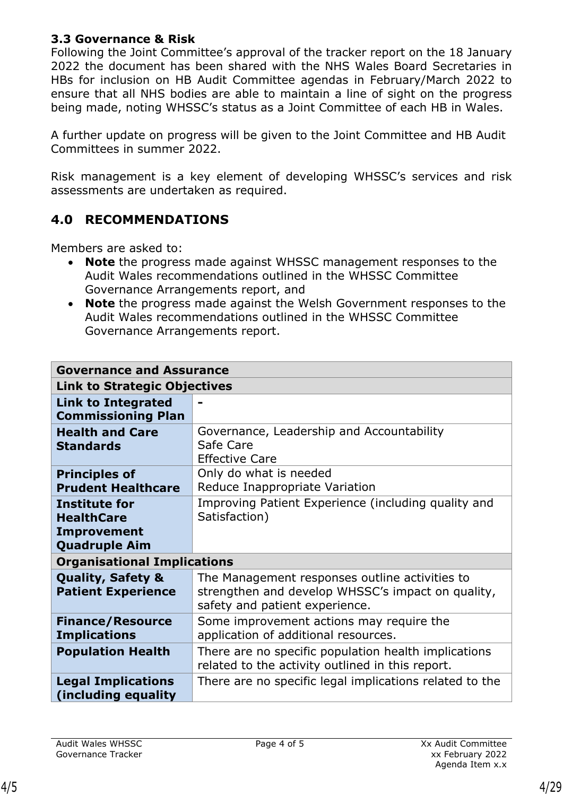### **3.3 Governance & Risk**

Following the Joint Committee's approval of the tracker report on the 18 January 2022 the document has been shared with the NHS Wales Board Secretaries in HBs for inclusion on HB Audit Committee agendas in February/March 2022 to ensure that all NHS bodies are able to maintain a line of sight on the progress being made, noting WHSSC's status as a Joint Committee of each HB in Wales.

A further update on progress will be given to the Joint Committee and HB Audit Committees in summer 2022.

Risk management is a key element of developing WHSSC's services and risk assessments are undertaken as required.

### **4.0 RECOMMENDATIONS**

Members are asked to:

- **Note** the progress made against WHSSC management responses to the Audit Wales recommendations outlined in the WHSSC Committee Governance Arrangements report, and
- **Note** the progress made against the Welsh Government responses to the Audit Wales recommendations outlined in the WHSSC Committee Governance Arrangements report.

|                                                                                         | <b>Governance and Assurance</b>                                                                                                       |  |  |  |  |  |  |
|-----------------------------------------------------------------------------------------|---------------------------------------------------------------------------------------------------------------------------------------|--|--|--|--|--|--|
| <b>Link to Strategic Objectives</b>                                                     |                                                                                                                                       |  |  |  |  |  |  |
| <b>Link to Integrated</b><br><b>Commissioning Plan</b>                                  |                                                                                                                                       |  |  |  |  |  |  |
| <b>Health and Care</b><br><b>Standards</b>                                              | Governance, Leadership and Accountability<br>Safe Care<br><b>Effective Care</b>                                                       |  |  |  |  |  |  |
| <b>Principles of</b><br><b>Prudent Healthcare</b>                                       | Only do what is needed<br>Reduce Inappropriate Variation                                                                              |  |  |  |  |  |  |
| <b>Institute for</b><br><b>HealthCare</b><br><b>Improvement</b><br><b>Quadruple Aim</b> | Improving Patient Experience (including quality and<br>Satisfaction)                                                                  |  |  |  |  |  |  |
| <b>Organisational Implications</b>                                                      |                                                                                                                                       |  |  |  |  |  |  |
| <b>Quality, Safety &amp;</b><br><b>Patient Experience</b>                               | The Management responses outline activities to<br>strengthen and develop WHSSC's impact on quality,<br>safety and patient experience. |  |  |  |  |  |  |
| <b>Finance/Resource</b><br><b>Implications</b>                                          | Some improvement actions may require the<br>application of additional resources.                                                      |  |  |  |  |  |  |
| <b>Population Health</b>                                                                | There are no specific population health implications<br>related to the activity outlined in this report.                              |  |  |  |  |  |  |
| <b>Legal Implications</b><br>(including equality)                                       | There are no specific legal implications related to the                                                                               |  |  |  |  |  |  |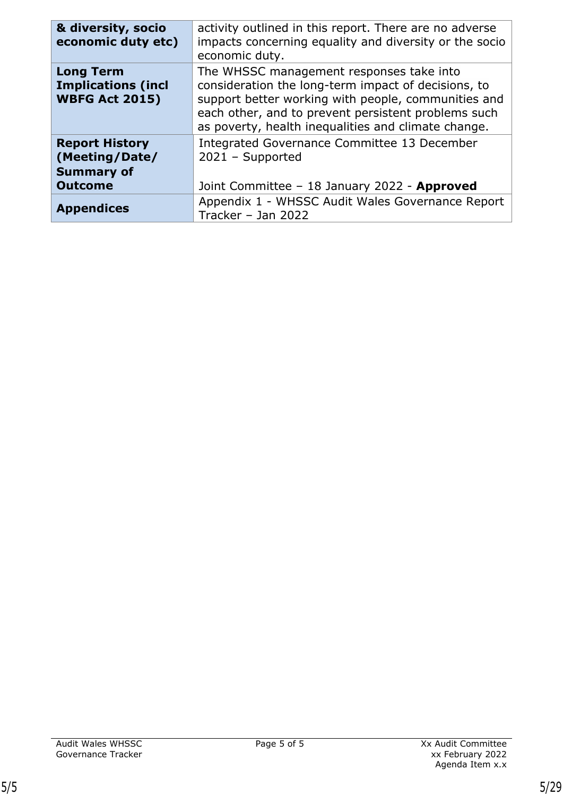| & diversity, socio<br>economic duty etc)                                       | activity outlined in this report. There are no adverse<br>impacts concerning equality and diversity or the socio<br>economic duty.                                                                                                                                   |
|--------------------------------------------------------------------------------|----------------------------------------------------------------------------------------------------------------------------------------------------------------------------------------------------------------------------------------------------------------------|
| <b>Long Term</b><br><b>Implications (incl</b><br><b>WBFG Act 2015)</b>         | The WHSSC management responses take into<br>consideration the long-term impact of decisions, to<br>support better working with people, communities and<br>each other, and to prevent persistent problems such<br>as poverty, health inequalities and climate change. |
| <b>Report History</b><br>(Meeting/Date/<br><b>Summary of</b><br><b>Outcome</b> | Integrated Governance Committee 13 December<br>$2021 -$ Supported<br>Joint Committee - 18 January 2022 - Approved                                                                                                                                                    |
| <b>Appendices</b>                                                              | Appendix 1 - WHSSC Audit Wales Governance Report<br>Tracker - Jan 2022                                                                                                                                                                                               |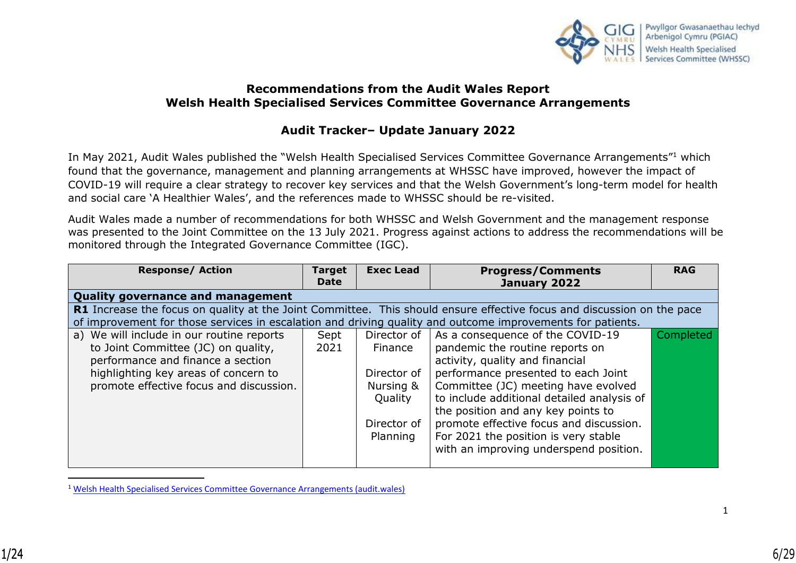

#### **Recommendations from the Audit Wales Report Welsh Health Specialised Services Committee Governance Arrangements**

### **Audit Tracker– Update January 2022**

In May 2021, Audit Wales published the "Welsh Health Specialised Services Committee Governance Arrangements"<sup>1</sup> which found that the governance, management and planning arrangements at WHSSC have improved, however the impact of COVID-19 will require a clear strategy to recover key services and that the Welsh Government's long-term model for health and social care 'A Healthier Wales', and the references made to WHSSC should be re-visited.

Audit Wales made a number of recommendations for both WHSSC and Welsh Government and the management response was presented to the Joint Committee on the 13 July 2021. Progress against actions to address the recommendations will be monitored through the Integrated Governance Committee (IGC).

| <b>Response/ Action</b>                                                                                                | <b>Target</b><br><b>Date</b> | <b>Exec Lead</b> | <b>Progress/Comments</b><br>January 2022   | <b>RAG</b> |  |
|------------------------------------------------------------------------------------------------------------------------|------------------------------|------------------|--------------------------------------------|------------|--|
| <b>Quality governance and management</b>                                                                               |                              |                  |                                            |            |  |
| R1 Increase the focus on quality at the Joint Committee. This should ensure effective focus and discussion on the pace |                              |                  |                                            |            |  |
| of improvement for those services in escalation and driving quality and outcome improvements for patients.             |                              |                  |                                            |            |  |
| a) We will include in our routine reports                                                                              | Sept                         | Director of      | As a consequence of the COVID-19           | Completed  |  |
| to Joint Committee (JC) on quality,                                                                                    | 2021                         | Finance          | pandemic the routine reports on            |            |  |
| performance and finance a section                                                                                      |                              |                  | activity, quality and financial            |            |  |
| highlighting key areas of concern to                                                                                   |                              | Director of      | performance presented to each Joint        |            |  |
| promote effective focus and discussion.                                                                                |                              | Nursing &        | Committee (JC) meeting have evolved        |            |  |
|                                                                                                                        |                              | Quality          | to include additional detailed analysis of |            |  |
|                                                                                                                        |                              |                  | the position and any key points to         |            |  |
|                                                                                                                        |                              | Director of      | promote effective focus and discussion.    |            |  |
|                                                                                                                        |                              | Planning         | For 2021 the position is very stable       |            |  |
|                                                                                                                        |                              |                  | with an improving underspend position.     |            |  |
|                                                                                                                        |                              |                  |                                            |            |  |

<sup>1</sup> [Welsh Health Specialised Services Committee Governance Arrangements \(audit.wales\)](https://www.audit.wales/sites/default/files/publications/WHSSC-Eng.pdf)

 $\overline{a}$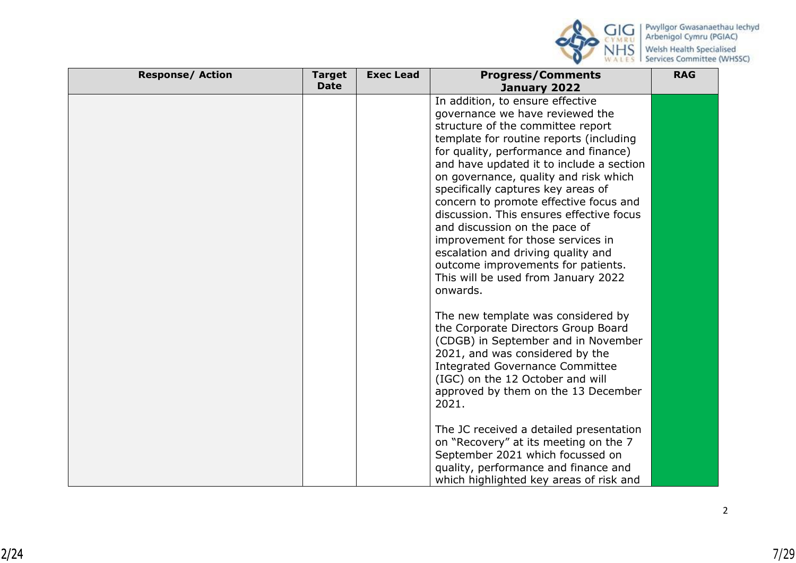

| <b>Response/ Action</b> | <b>Target</b><br><b>Date</b> | <b>Exec Lead</b> | <b>Progress/Comments</b><br>January 2022                                                                                                                                                                                                                                                                                                                                                                                                                                                                                                                                                                           | <b>RAG</b> |
|-------------------------|------------------------------|------------------|--------------------------------------------------------------------------------------------------------------------------------------------------------------------------------------------------------------------------------------------------------------------------------------------------------------------------------------------------------------------------------------------------------------------------------------------------------------------------------------------------------------------------------------------------------------------------------------------------------------------|------------|
|                         |                              |                  | In addition, to ensure effective<br>governance we have reviewed the<br>structure of the committee report<br>template for routine reports (including<br>for quality, performance and finance)<br>and have updated it to include a section<br>on governance, quality and risk which<br>specifically captures key areas of<br>concern to promote effective focus and<br>discussion. This ensures effective focus<br>and discussion on the pace of<br>improvement for those services in<br>escalation and driving quality and<br>outcome improvements for patients.<br>This will be used from January 2022<br>onwards. |            |
|                         |                              |                  | The new template was considered by<br>the Corporate Directors Group Board<br>(CDGB) in September and in November<br>2021, and was considered by the<br><b>Integrated Governance Committee</b><br>(IGC) on the 12 October and will<br>approved by them on the 13 December<br>2021.<br>The JC received a detailed presentation                                                                                                                                                                                                                                                                                       |            |
|                         |                              |                  | on "Recovery" at its meeting on the 7<br>September 2021 which focussed on<br>quality, performance and finance and<br>which highlighted key areas of risk and                                                                                                                                                                                                                                                                                                                                                                                                                                                       |            |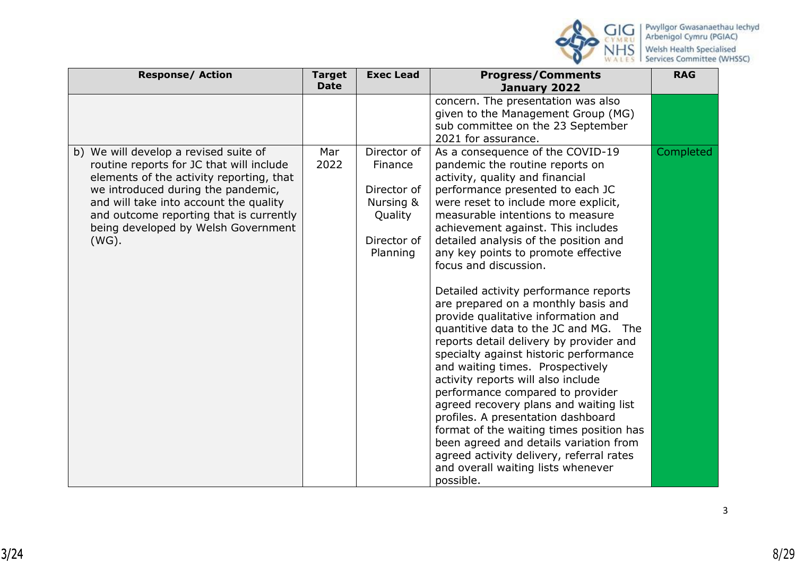

| <b>Response/ Action</b>                                                                                                                                                                                                                                                                                     | <b>Target</b><br><b>Date</b> | <b>Exec Lead</b>                                                                         | <b>Progress/Comments</b><br>January 2022                                                                                                                                                                                                                                                                                                                                                                                                                                                                                                                                                                                                                                                                                                                                                                                                                                                                                                                                                                      | <b>RAG</b> |
|-------------------------------------------------------------------------------------------------------------------------------------------------------------------------------------------------------------------------------------------------------------------------------------------------------------|------------------------------|------------------------------------------------------------------------------------------|---------------------------------------------------------------------------------------------------------------------------------------------------------------------------------------------------------------------------------------------------------------------------------------------------------------------------------------------------------------------------------------------------------------------------------------------------------------------------------------------------------------------------------------------------------------------------------------------------------------------------------------------------------------------------------------------------------------------------------------------------------------------------------------------------------------------------------------------------------------------------------------------------------------------------------------------------------------------------------------------------------------|------------|
|                                                                                                                                                                                                                                                                                                             |                              |                                                                                          | concern. The presentation was also<br>given to the Management Group (MG)<br>sub committee on the 23 September<br>2021 for assurance.                                                                                                                                                                                                                                                                                                                                                                                                                                                                                                                                                                                                                                                                                                                                                                                                                                                                          |            |
| b) We will develop a revised suite of<br>routine reports for JC that will include<br>elements of the activity reporting, that<br>we introduced during the pandemic,<br>and will take into account the quality<br>and outcome reporting that is currently<br>being developed by Welsh Government<br>$(WG)$ . | Mar<br>2022                  | Director of<br>Finance<br>Director of<br>Nursing &<br>Quality<br>Director of<br>Planning | As a consequence of the COVID-19<br>pandemic the routine reports on<br>activity, quality and financial<br>performance presented to each JC<br>were reset to include more explicit,<br>measurable intentions to measure<br>achievement against. This includes<br>detailed analysis of the position and<br>any key points to promote effective<br>focus and discussion.<br>Detailed activity performance reports<br>are prepared on a monthly basis and<br>provide qualitative information and<br>quantitive data to the JC and MG. The<br>reports detail delivery by provider and<br>specialty against historic performance<br>and waiting times. Prospectively<br>activity reports will also include<br>performance compared to provider<br>agreed recovery plans and waiting list<br>profiles. A presentation dashboard<br>format of the waiting times position has<br>been agreed and details variation from<br>agreed activity delivery, referral rates<br>and overall waiting lists whenever<br>possible. | Completed  |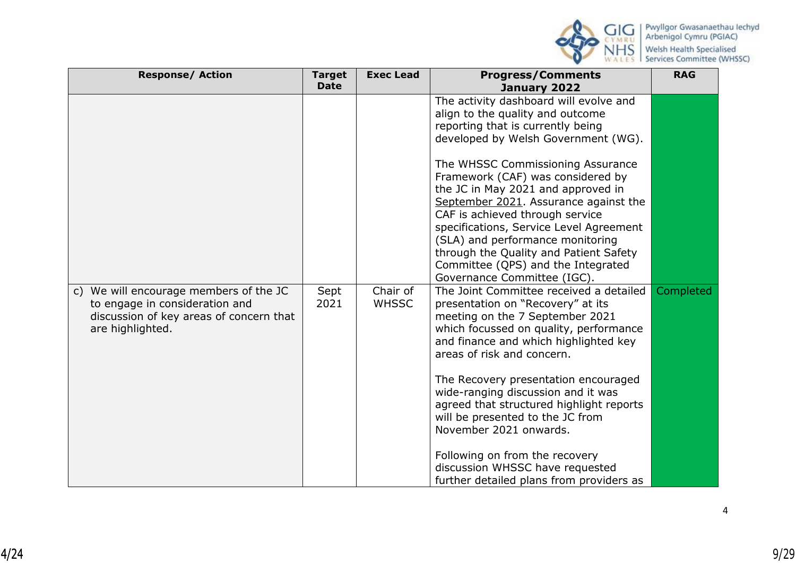

| <b>Response/ Action</b>                                                                                                                              | <b>Target</b><br><b>Date</b> | <b>Exec Lead</b>         | <b>Progress/Comments</b><br>January 2022                                                                                                                                                                                                                                                                                                                                               | <b>RAG</b> |
|------------------------------------------------------------------------------------------------------------------------------------------------------|------------------------------|--------------------------|----------------------------------------------------------------------------------------------------------------------------------------------------------------------------------------------------------------------------------------------------------------------------------------------------------------------------------------------------------------------------------------|------------|
|                                                                                                                                                      |                              |                          | The activity dashboard will evolve and<br>align to the quality and outcome<br>reporting that is currently being<br>developed by Welsh Government (WG).                                                                                                                                                                                                                                 |            |
|                                                                                                                                                      |                              |                          | The WHSSC Commissioning Assurance<br>Framework (CAF) was considered by<br>the JC in May 2021 and approved in<br>September 2021. Assurance against the<br>CAF is achieved through service<br>specifications, Service Level Agreement<br>(SLA) and performance monitoring<br>through the Quality and Patient Safety<br>Committee (QPS) and the Integrated<br>Governance Committee (IGC). |            |
| We will encourage members of the JC<br>$\mathsf{C}$<br>to engage in consideration and<br>discussion of key areas of concern that<br>are highlighted. | Sept<br>2021                 | Chair of<br><b>WHSSC</b> | The Joint Committee received a detailed<br>presentation on "Recovery" at its<br>meeting on the 7 September 2021<br>which focussed on quality, performance<br>and finance and which highlighted key<br>areas of risk and concern.<br>The Recovery presentation encouraged<br>wide-ranging discussion and it was                                                                         | Completed  |
|                                                                                                                                                      |                              |                          | agreed that structured highlight reports<br>will be presented to the JC from<br>November 2021 onwards.<br>Following on from the recovery<br>discussion WHSSC have requested<br>further detailed plans from providers as                                                                                                                                                                |            |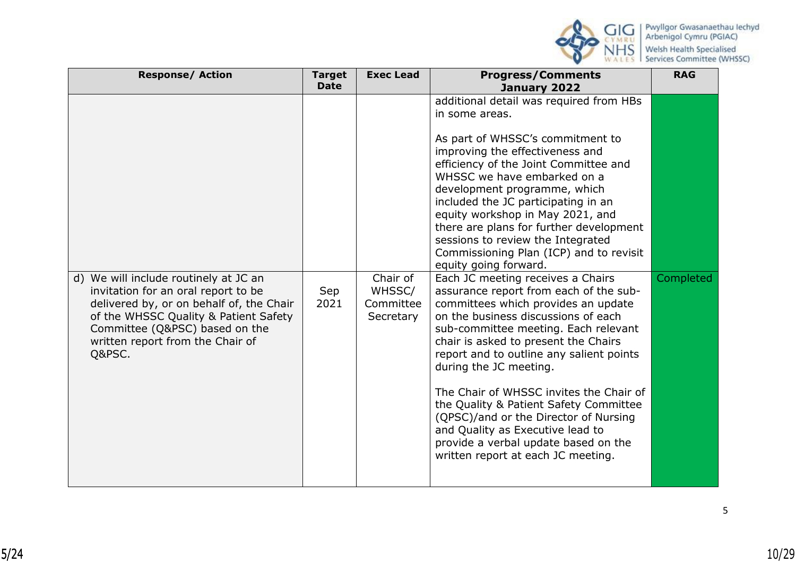

| <b>Response/ Action</b>                                                                                                                                                                                                                           | <b>Target</b>              | <b>Exec Lead</b>                             | <b>Progress/Comments</b>                                                                                                                                                                                                                                                                                                                                                                                                                                                                                                                                                                                                                                                                                                                                                                                                                                                                                                                                                     | <b>RAG</b> |
|---------------------------------------------------------------------------------------------------------------------------------------------------------------------------------------------------------------------------------------------------|----------------------------|----------------------------------------------|------------------------------------------------------------------------------------------------------------------------------------------------------------------------------------------------------------------------------------------------------------------------------------------------------------------------------------------------------------------------------------------------------------------------------------------------------------------------------------------------------------------------------------------------------------------------------------------------------------------------------------------------------------------------------------------------------------------------------------------------------------------------------------------------------------------------------------------------------------------------------------------------------------------------------------------------------------------------------|------------|
| d) We will include routinely at JC an<br>invitation for an oral report to be<br>delivered by, or on behalf of, the Chair<br>of the WHSSC Quality & Patient Safety<br>Committee (Q&PSC) based on the<br>written report from the Chair of<br>Q&PSC. | <b>Date</b><br>Sep<br>2021 | Chair of<br>WHSSC/<br>Committee<br>Secretary | January 2022<br>additional detail was required from HBs<br>in some areas.<br>As part of WHSSC's commitment to<br>improving the effectiveness and<br>efficiency of the Joint Committee and<br>WHSSC we have embarked on a<br>development programme, which<br>included the JC participating in an<br>equity workshop in May 2021, and<br>there are plans for further development<br>sessions to review the Integrated<br>Commissioning Plan (ICP) and to revisit<br>equity going forward.<br>Each JC meeting receives a Chairs<br>assurance report from each of the sub-<br>committees which provides an update<br>on the business discussions of each<br>sub-committee meeting. Each relevant<br>chair is asked to present the Chairs<br>report and to outline any salient points<br>during the JC meeting.<br>The Chair of WHSSC invites the Chair of<br>the Quality & Patient Safety Committee<br>(QPSC)/and or the Director of Nursing<br>and Quality as Executive lead to | Completed  |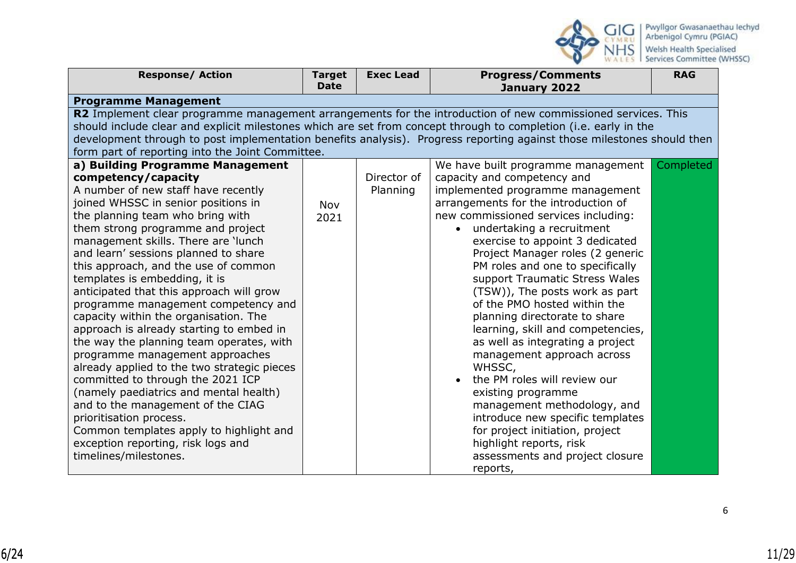

| <b>Response/ Action</b>                                                                                                                                                                                                                    | <b>Target</b><br><b>Date</b> | <b>Exec Lead</b> | <b>Progress/Comments</b>                                         | <b>RAG</b> |  |  |
|--------------------------------------------------------------------------------------------------------------------------------------------------------------------------------------------------------------------------------------------|------------------------------|------------------|------------------------------------------------------------------|------------|--|--|
|                                                                                                                                                                                                                                            |                              |                  | January 2022                                                     |            |  |  |
| <b>Programme Management</b>                                                                                                                                                                                                                |                              |                  |                                                                  |            |  |  |
| R2 Implement clear programme management arrangements for the introduction of new commissioned services. This                                                                                                                               |                              |                  |                                                                  |            |  |  |
| should include clear and explicit milestones which are set from concept through to completion (i.e. early in the<br>development through to post implementation benefits analysis). Progress reporting against those milestones should then |                              |                  |                                                                  |            |  |  |
|                                                                                                                                                                                                                                            |                              |                  |                                                                  |            |  |  |
| form part of reporting into the Joint Committee.                                                                                                                                                                                           |                              |                  |                                                                  |            |  |  |
| a) Building Programme Management                                                                                                                                                                                                           |                              |                  | We have built programme management                               | Completed  |  |  |
| competency/capacity                                                                                                                                                                                                                        |                              | Director of      | capacity and competency and                                      |            |  |  |
| A number of new staff have recently                                                                                                                                                                                                        |                              | Planning         | implemented programme management                                 |            |  |  |
| joined WHSSC in senior positions in                                                                                                                                                                                                        | Nov                          |                  | arrangements for the introduction of                             |            |  |  |
| the planning team who bring with                                                                                                                                                                                                           | 2021                         |                  | new commissioned services including:                             |            |  |  |
| them strong programme and project                                                                                                                                                                                                          |                              |                  | undertaking a recruitment<br>$\bullet$                           |            |  |  |
| management skills. There are 'lunch                                                                                                                                                                                                        |                              |                  | exercise to appoint 3 dedicated                                  |            |  |  |
| and learn' sessions planned to share                                                                                                                                                                                                       |                              |                  | Project Manager roles (2 generic                                 |            |  |  |
| this approach, and the use of common                                                                                                                                                                                                       |                              |                  | PM roles and one to specifically                                 |            |  |  |
| templates is embedding, it is<br>anticipated that this approach will grow                                                                                                                                                                  |                              |                  | support Traumatic Stress Wales<br>(TSW)), The posts work as part |            |  |  |
|                                                                                                                                                                                                                                            |                              |                  | of the PMO hosted within the                                     |            |  |  |
| programme management competency and<br>capacity within the organisation. The                                                                                                                                                               |                              |                  | planning directorate to share                                    |            |  |  |
| approach is already starting to embed in                                                                                                                                                                                                   |                              |                  | learning, skill and competencies,                                |            |  |  |
| the way the planning team operates, with                                                                                                                                                                                                   |                              |                  | as well as integrating a project                                 |            |  |  |
| programme management approaches                                                                                                                                                                                                            |                              |                  | management approach across                                       |            |  |  |
| already applied to the two strategic pieces                                                                                                                                                                                                |                              |                  | WHSSC,                                                           |            |  |  |
| committed to through the 2021 ICP                                                                                                                                                                                                          |                              |                  | the PM roles will review our                                     |            |  |  |
| (namely paediatrics and mental health)                                                                                                                                                                                                     |                              |                  | existing programme                                               |            |  |  |
| and to the management of the CIAG                                                                                                                                                                                                          |                              |                  | management methodology, and                                      |            |  |  |
| prioritisation process.                                                                                                                                                                                                                    |                              |                  | introduce new specific templates                                 |            |  |  |
| Common templates apply to highlight and                                                                                                                                                                                                    |                              |                  | for project initiation, project                                  |            |  |  |
| exception reporting, risk logs and                                                                                                                                                                                                         |                              |                  | highlight reports, risk                                          |            |  |  |
| timelines/milestones.                                                                                                                                                                                                                      |                              |                  | assessments and project closure                                  |            |  |  |
|                                                                                                                                                                                                                                            |                              |                  | reports,                                                         |            |  |  |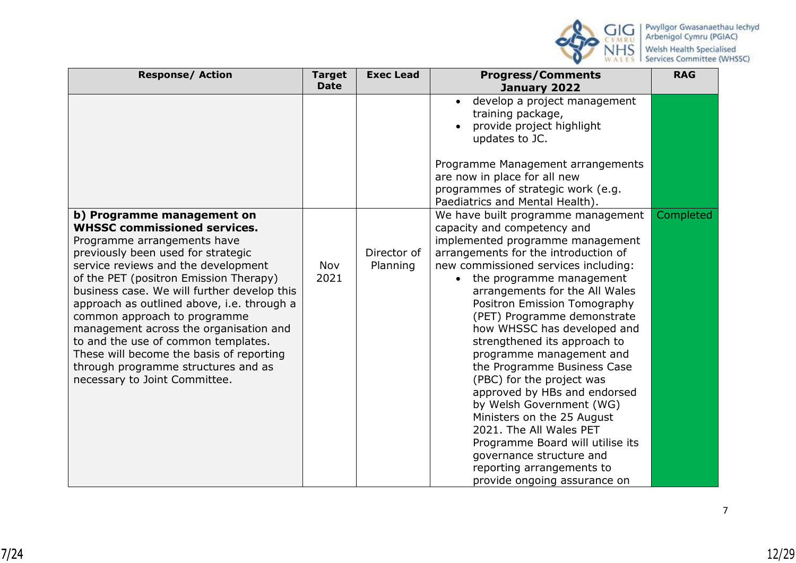

| <b>Response/ Action</b>                                                                                                                                                                                                                                                                                                                                                                                                                                                                                                                                   | <b>Target</b>              | <b>Exec Lead</b>        | <b>Progress/Comments</b>                                                                                                                                                                                                                                                                                                                                                                                                                                                                                                                                                                                                                                                                                                                                                                                                                                                                                                                                                                | <b>RAG</b> |
|-----------------------------------------------------------------------------------------------------------------------------------------------------------------------------------------------------------------------------------------------------------------------------------------------------------------------------------------------------------------------------------------------------------------------------------------------------------------------------------------------------------------------------------------------------------|----------------------------|-------------------------|-----------------------------------------------------------------------------------------------------------------------------------------------------------------------------------------------------------------------------------------------------------------------------------------------------------------------------------------------------------------------------------------------------------------------------------------------------------------------------------------------------------------------------------------------------------------------------------------------------------------------------------------------------------------------------------------------------------------------------------------------------------------------------------------------------------------------------------------------------------------------------------------------------------------------------------------------------------------------------------------|------------|
| b) Programme management on<br><b>WHSSC commissioned services.</b><br>Programme arrangements have<br>previously been used for strategic<br>service reviews and the development<br>of the PET (positron Emission Therapy)<br>business case. We will further develop this<br>approach as outlined above, i.e. through a<br>common approach to programme<br>management across the organisation and<br>to and the use of common templates.<br>These will become the basis of reporting<br>through programme structures and as<br>necessary to Joint Committee. | <b>Date</b><br>Nov<br>2021 | Director of<br>Planning | January 2022<br>develop a project management<br>$\bullet$<br>training package,<br>provide project highlight<br>updates to JC.<br>Programme Management arrangements<br>are now in place for all new<br>programmes of strategic work (e.g.<br>Paediatrics and Mental Health).<br>We have built programme management<br>capacity and competency and<br>implemented programme management<br>arrangements for the introduction of<br>new commissioned services including:<br>the programme management<br>$\bullet$<br>arrangements for the All Wales<br>Positron Emission Tomography<br>(PET) Programme demonstrate<br>how WHSSC has developed and<br>strengthened its approach to<br>programme management and<br>the Programme Business Case<br>(PBC) for the project was<br>approved by HBs and endorsed<br>by Welsh Government (WG)<br>Ministers on the 25 August<br>2021. The All Wales PET<br>Programme Board will utilise its<br>governance structure and<br>reporting arrangements to | Completed  |
|                                                                                                                                                                                                                                                                                                                                                                                                                                                                                                                                                           |                            |                         | provide ongoing assurance on                                                                                                                                                                                                                                                                                                                                                                                                                                                                                                                                                                                                                                                                                                                                                                                                                                                                                                                                                            |            |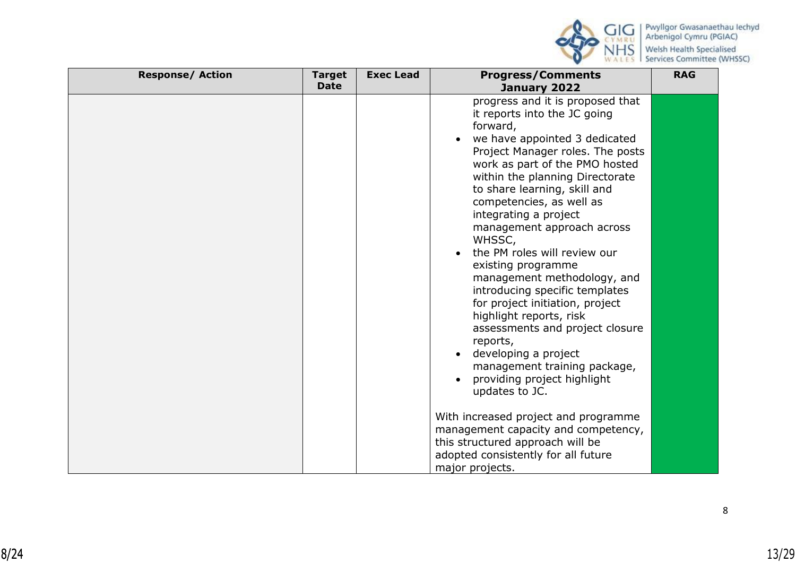

| <b>Response/ Action</b> | <b>Target</b><br><b>Date</b> | <b>Exec Lead</b> | <b>Progress/Comments</b><br>January 2022                                                                                                                                                                                                                                                                                                                                                                                                                                                                                                                                                                                                                                                         | <b>RAG</b> |
|-------------------------|------------------------------|------------------|--------------------------------------------------------------------------------------------------------------------------------------------------------------------------------------------------------------------------------------------------------------------------------------------------------------------------------------------------------------------------------------------------------------------------------------------------------------------------------------------------------------------------------------------------------------------------------------------------------------------------------------------------------------------------------------------------|------------|
|                         |                              |                  | progress and it is proposed that<br>it reports into the JC going<br>forward,<br>we have appointed 3 dedicated<br>Project Manager roles. The posts<br>work as part of the PMO hosted<br>within the planning Directorate<br>to share learning, skill and<br>competencies, as well as<br>integrating a project<br>management approach across<br>WHSSC,<br>the PM roles will review our<br>existing programme<br>management methodology, and<br>introducing specific templates<br>for project initiation, project<br>highlight reports, risk<br>assessments and project closure<br>reports,<br>developing a project<br>management training package,<br>providing project highlight<br>updates to JC. |            |
|                         |                              |                  | With increased project and programme<br>management capacity and competency,<br>this structured approach will be<br>adopted consistently for all future<br>major projects.                                                                                                                                                                                                                                                                                                                                                                                                                                                                                                                        |            |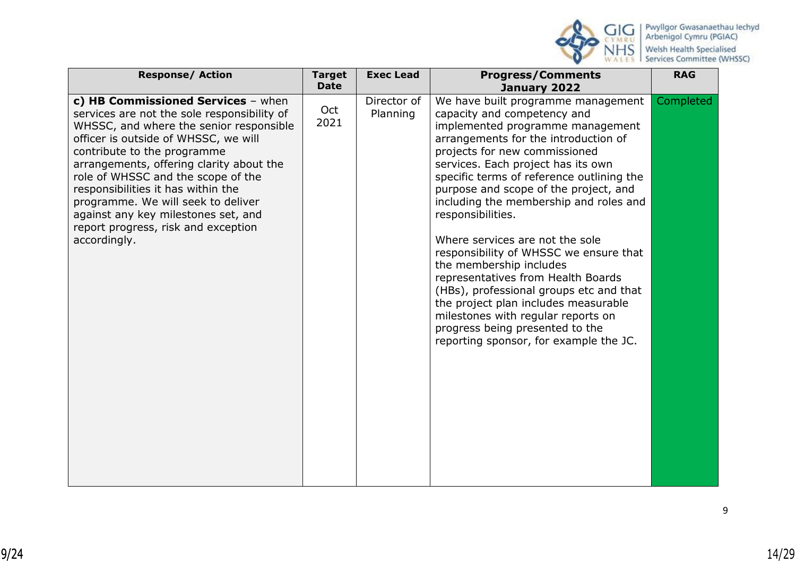

| <b>Response/ Action</b>                                                                                                                                                                                                                                                                                                                                                                                                                                         | <b>Target</b><br><b>Date</b> | <b>Exec Lead</b>        | <b>Progress/Comments</b><br>January 2022                                                                                                                                                                                                                                                                                                                                                                                                                                                                                                                                                                                                                                                                                      | <b>RAG</b> |
|-----------------------------------------------------------------------------------------------------------------------------------------------------------------------------------------------------------------------------------------------------------------------------------------------------------------------------------------------------------------------------------------------------------------------------------------------------------------|------------------------------|-------------------------|-------------------------------------------------------------------------------------------------------------------------------------------------------------------------------------------------------------------------------------------------------------------------------------------------------------------------------------------------------------------------------------------------------------------------------------------------------------------------------------------------------------------------------------------------------------------------------------------------------------------------------------------------------------------------------------------------------------------------------|------------|
| c) HB Commissioned Services - when<br>services are not the sole responsibility of<br>WHSSC, and where the senior responsible<br>officer is outside of WHSSC, we will<br>contribute to the programme<br>arrangements, offering clarity about the<br>role of WHSSC and the scope of the<br>responsibilities it has within the<br>programme. We will seek to deliver<br>against any key milestones set, and<br>report progress, risk and exception<br>accordingly. | Oct<br>2021                  | Director of<br>Planning | We have built programme management<br>capacity and competency and<br>implemented programme management<br>arrangements for the introduction of<br>projects for new commissioned<br>services. Each project has its own<br>specific terms of reference outlining the<br>purpose and scope of the project, and<br>including the membership and roles and<br>responsibilities.<br>Where services are not the sole<br>responsibility of WHSSC we ensure that<br>the membership includes<br>representatives from Health Boards<br>(HBs), professional groups etc and that<br>the project plan includes measurable<br>milestones with regular reports on<br>progress being presented to the<br>reporting sponsor, for example the JC. | Completed  |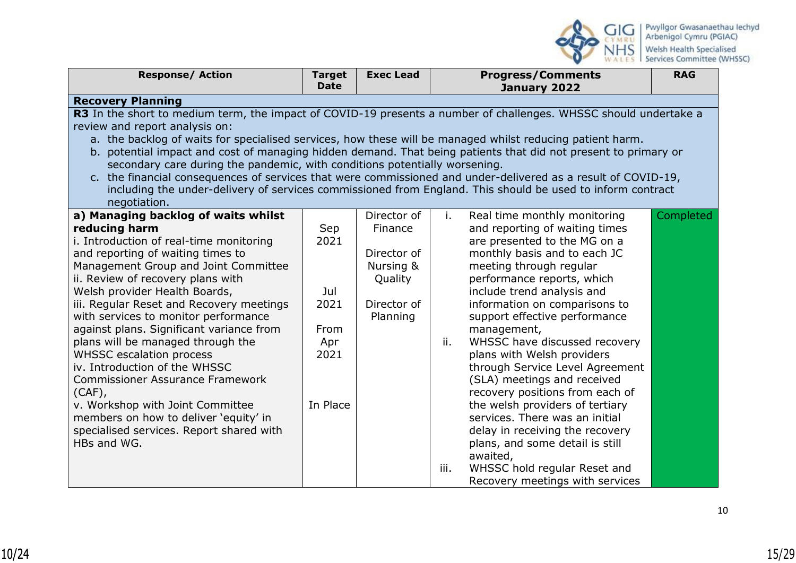

| <b>Response/ Action</b>                                                                                          | <b>Target</b> | <b>Exec Lead</b> |      | <b>Progress/Comments</b>        | <b>RAG</b> |
|------------------------------------------------------------------------------------------------------------------|---------------|------------------|------|---------------------------------|------------|
|                                                                                                                  | <b>Date</b>   |                  |      | January 2022                    |            |
| <b>Recovery Planning</b>                                                                                         |               |                  |      |                                 |            |
| R3 In the short to medium term, the impact of COVID-19 presents a number of challenges. WHSSC should undertake a |               |                  |      |                                 |            |
| review and report analysis on:                                                                                   |               |                  |      |                                 |            |
| a. the backlog of waits for specialised services, how these will be managed whilst reducing patient harm.        |               |                  |      |                                 |            |
| b. potential impact and cost of managing hidden demand. That being patients that did not present to primary or   |               |                  |      |                                 |            |
| secondary care during the pandemic, with conditions potentially worsening.                                       |               |                  |      |                                 |            |
| c. the financial consequences of services that were commissioned and under-delivered as a result of COVID-19,    |               |                  |      |                                 |            |
| including the under-delivery of services commissioned from England. This should be used to inform contract       |               |                  |      |                                 |            |
| negotiation.                                                                                                     |               |                  |      |                                 |            |
| a) Managing backlog of waits whilst                                                                              |               | Director of      | i.   | Real time monthly monitoring    | Completed  |
| reducing harm                                                                                                    | Sep           | Finance          |      | and reporting of waiting times  |            |
| i. Introduction of real-time monitoring                                                                          | 2021          |                  |      | are presented to the MG on a    |            |
| and reporting of waiting times to                                                                                |               | Director of      |      | monthly basis and to each JC    |            |
| Management Group and Joint Committee                                                                             |               | Nursing &        |      | meeting through regular         |            |
| ii. Review of recovery plans with                                                                                |               | Quality          |      | performance reports, which      |            |
| Welsh provider Health Boards,                                                                                    | Jul           |                  |      | include trend analysis and      |            |
| iii. Regular Reset and Recovery meetings                                                                         | 2021          | Director of      |      | information on comparisons to   |            |
| with services to monitor performance                                                                             |               | Planning         |      | support effective performance   |            |
| against plans. Significant variance from                                                                         | From          |                  |      | management,                     |            |
| plans will be managed through the                                                                                | Apr           |                  | ii.  | WHSSC have discussed recovery   |            |
| <b>WHSSC escalation process</b>                                                                                  | 2021          |                  |      | plans with Welsh providers      |            |
| iv. Introduction of the WHSSC                                                                                    |               |                  |      | through Service Level Agreement |            |
| <b>Commissioner Assurance Framework</b>                                                                          |               |                  |      | (SLA) meetings and received     |            |
| (CAF),                                                                                                           |               |                  |      | recovery positions from each of |            |
| v. Workshop with Joint Committee                                                                                 | In Place      |                  |      | the welsh providers of tertiary |            |
| members on how to deliver 'equity' in                                                                            |               |                  |      | services. There was an initial  |            |
| specialised services. Report shared with                                                                         |               |                  |      | delay in receiving the recovery |            |
| HBs and WG.                                                                                                      |               |                  |      | plans, and some detail is still |            |
|                                                                                                                  |               |                  |      | awaited,                        |            |
|                                                                                                                  |               |                  | iii. | WHSSC hold regular Reset and    |            |
|                                                                                                                  |               |                  |      | Recovery meetings with services |            |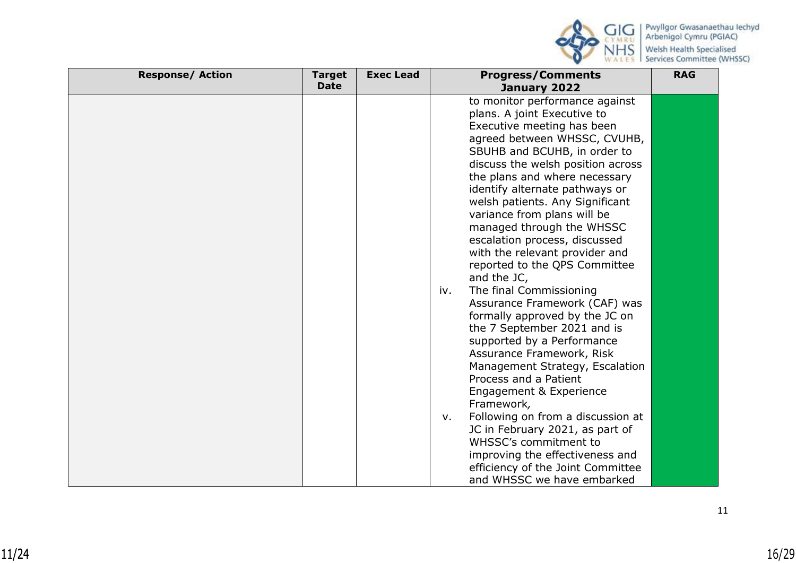

| <b>Response/ Action</b> | <b>Target</b> | <b>Exec Lead</b> | <b>Progress/Comments</b>                | <b>RAG</b> |
|-------------------------|---------------|------------------|-----------------------------------------|------------|
|                         | <b>Date</b>   |                  | January 2022                            |            |
|                         |               |                  | to monitor performance against          |            |
|                         |               |                  | plans. A joint Executive to             |            |
|                         |               |                  | Executive meeting has been              |            |
|                         |               |                  | agreed between WHSSC, CVUHB,            |            |
|                         |               |                  | SBUHB and BCUHB, in order to            |            |
|                         |               |                  | discuss the welsh position across       |            |
|                         |               |                  | the plans and where necessary           |            |
|                         |               |                  | identify alternate pathways or          |            |
|                         |               |                  | welsh patients. Any Significant         |            |
|                         |               |                  | variance from plans will be             |            |
|                         |               |                  | managed through the WHSSC               |            |
|                         |               |                  | escalation process, discussed           |            |
|                         |               |                  | with the relevant provider and          |            |
|                         |               |                  | reported to the QPS Committee           |            |
|                         |               |                  | and the JC,                             |            |
|                         |               |                  | The final Commissioning<br>iv.          |            |
|                         |               |                  | Assurance Framework (CAF) was           |            |
|                         |               |                  | formally approved by the JC on          |            |
|                         |               |                  | the 7 September 2021 and is             |            |
|                         |               |                  | supported by a Performance              |            |
|                         |               |                  | Assurance Framework, Risk               |            |
|                         |               |                  | Management Strategy, Escalation         |            |
|                         |               |                  | Process and a Patient                   |            |
|                         |               |                  | Engagement & Experience                 |            |
|                         |               |                  | Framework,                              |            |
|                         |               |                  | Following on from a discussion at<br>V. |            |
|                         |               |                  | JC in February 2021, as part of         |            |
|                         |               |                  | WHSSC's commitment to                   |            |
|                         |               |                  | improving the effectiveness and         |            |
|                         |               |                  | efficiency of the Joint Committee       |            |
|                         |               |                  | and WHSSC we have embarked              |            |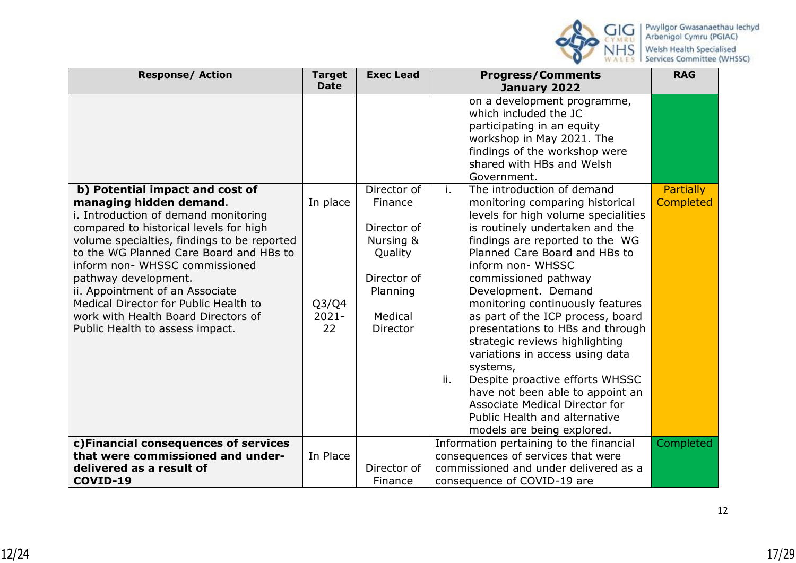

| <b>Response/ Action</b>                                                                                                                                                                                                                                                                                                                                                                                                                                | <b>Target</b><br><b>Date</b>                                 | <b>Exec Lead</b>                                                                                                | <b>Progress/Comments</b><br>January 2022                                                                                                                                                                                                                                                                                                                                                                                                                                                                                                                                                                                                                                  | <b>RAG</b>                           |
|--------------------------------------------------------------------------------------------------------------------------------------------------------------------------------------------------------------------------------------------------------------------------------------------------------------------------------------------------------------------------------------------------------------------------------------------------------|--------------------------------------------------------------|-----------------------------------------------------------------------------------------------------------------|---------------------------------------------------------------------------------------------------------------------------------------------------------------------------------------------------------------------------------------------------------------------------------------------------------------------------------------------------------------------------------------------------------------------------------------------------------------------------------------------------------------------------------------------------------------------------------------------------------------------------------------------------------------------------|--------------------------------------|
|                                                                                                                                                                                                                                                                                                                                                                                                                                                        |                                                              |                                                                                                                 | on a development programme,<br>which included the JC<br>participating in an equity<br>workshop in May 2021. The<br>findings of the workshop were<br>shared with HBs and Welsh<br>Government.                                                                                                                                                                                                                                                                                                                                                                                                                                                                              |                                      |
| b) Potential impact and cost of<br>managing hidden demand.<br>i. Introduction of demand monitoring<br>compared to historical levels for high<br>volume specialties, findings to be reported<br>to the WG Planned Care Board and HBs to<br>inform non- WHSSC commissioned<br>pathway development.<br>ii. Appointment of an Associate<br>Medical Director for Public Health to<br>work with Health Board Directors of<br>Public Health to assess impact. | In place<br>Q <sub>3</sub> /Q <sub>4</sub><br>$2021 -$<br>22 | Director of<br>Finance<br>Director of<br>Nursing &<br>Quality<br>Director of<br>Planning<br>Medical<br>Director | i.<br>The introduction of demand<br>monitoring comparing historical<br>levels for high volume specialities<br>is routinely undertaken and the<br>findings are reported to the WG<br>Planned Care Board and HBs to<br>inform non- WHSSC<br>commissioned pathway<br>Development. Demand<br>monitoring continuously features<br>as part of the ICP process, board<br>presentations to HBs and through<br>strategic reviews highlighting<br>variations in access using data<br>systems,<br>ii.<br>Despite proactive efforts WHSSC<br>have not been able to appoint an<br><b>Associate Medical Director for</b><br>Public Health and alternative<br>models are being explored. | <b>Partially</b><br><b>Completed</b> |
| c)Financial consequences of services<br>that were commissioned and under-<br>delivered as a result of<br>COVID-19                                                                                                                                                                                                                                                                                                                                      | In Place                                                     | Director of<br>Finance                                                                                          | Information pertaining to the financial<br>consequences of services that were<br>commissioned and under delivered as a<br>consequence of COVID-19 are                                                                                                                                                                                                                                                                                                                                                                                                                                                                                                                     | Completed                            |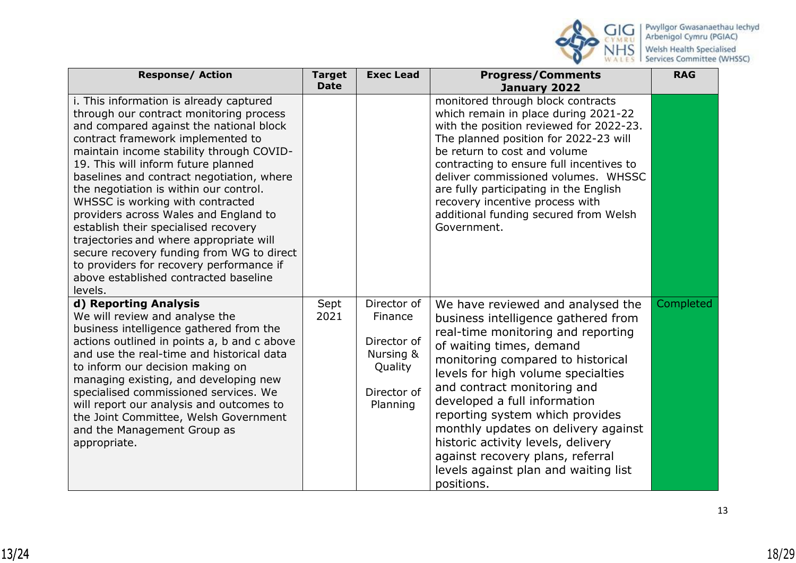

| <b>Response/ Action</b>                                                                                                                                                                                                                                                                                                                                                                                                                                                                                                                                                                                                                                   | <b>Target</b><br><b>Date</b> | <b>Exec Lead</b>                                                                         | <b>Progress/Comments</b><br>January 2022                                                                                                                                                                                                                                                                                                                                                                                                                                                       | <b>RAG</b> |
|-----------------------------------------------------------------------------------------------------------------------------------------------------------------------------------------------------------------------------------------------------------------------------------------------------------------------------------------------------------------------------------------------------------------------------------------------------------------------------------------------------------------------------------------------------------------------------------------------------------------------------------------------------------|------------------------------|------------------------------------------------------------------------------------------|------------------------------------------------------------------------------------------------------------------------------------------------------------------------------------------------------------------------------------------------------------------------------------------------------------------------------------------------------------------------------------------------------------------------------------------------------------------------------------------------|------------|
| i. This information is already captured<br>through our contract monitoring process<br>and compared against the national block<br>contract framework implemented to<br>maintain income stability through COVID-<br>19. This will inform future planned<br>baselines and contract negotiation, where<br>the negotiation is within our control.<br>WHSSC is working with contracted<br>providers across Wales and England to<br>establish their specialised recovery<br>trajectories and where appropriate will<br>secure recovery funding from WG to direct<br>to providers for recovery performance if<br>above established contracted baseline<br>levels. |                              |                                                                                          | monitored through block contracts<br>which remain in place during 2021-22<br>with the position reviewed for 2022-23.<br>The planned position for 2022-23 will<br>be return to cost and volume<br>contracting to ensure full incentives to<br>deliver commissioned volumes. WHSSC<br>are fully participating in the English<br>recovery incentive process with<br>additional funding secured from Welsh<br>Government.                                                                          |            |
| d) Reporting Analysis<br>We will review and analyse the<br>business intelligence gathered from the<br>actions outlined in points a, b and c above<br>and use the real-time and historical data<br>to inform our decision making on<br>managing existing, and developing new<br>specialised commissioned services. We<br>will report our analysis and outcomes to<br>the Joint Committee, Welsh Government<br>and the Management Group as<br>appropriate.                                                                                                                                                                                                  | Sept<br>2021                 | Director of<br>Finance<br>Director of<br>Nursing &<br>Quality<br>Director of<br>Planning | We have reviewed and analysed the<br>business intelligence gathered from<br>real-time monitoring and reporting<br>of waiting times, demand<br>monitoring compared to historical<br>levels for high volume specialties<br>and contract monitoring and<br>developed a full information<br>reporting system which provides<br>monthly updates on delivery against<br>historic activity levels, delivery<br>against recovery plans, referral<br>levels against plan and waiting list<br>positions. | Completed  |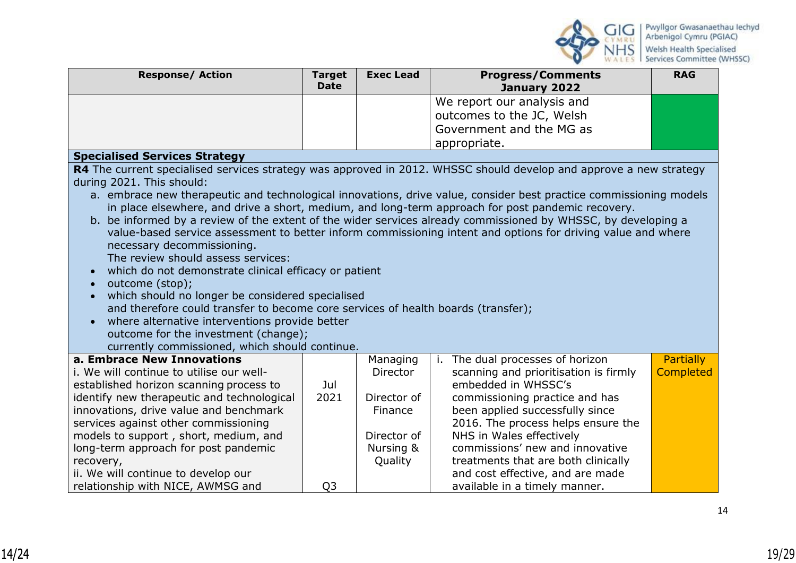

| <b>Response/ Action</b>                                                                                            | <b>Target</b><br><b>Date</b> | <b>Exec Lead</b> | <b>Progress/Comments</b><br>January 2022                                                                           | <b>RAG</b>       |
|--------------------------------------------------------------------------------------------------------------------|------------------------------|------------------|--------------------------------------------------------------------------------------------------------------------|------------------|
|                                                                                                                    |                              |                  | We report our analysis and                                                                                         |                  |
|                                                                                                                    |                              |                  | outcomes to the JC, Welsh                                                                                          |                  |
|                                                                                                                    |                              |                  | Government and the MG as                                                                                           |                  |
|                                                                                                                    |                              |                  | appropriate.                                                                                                       |                  |
| <b>Specialised Services Strategy</b>                                                                               |                              |                  |                                                                                                                    |                  |
| R4 The current specialised services strategy was approved in 2012. WHSSC should develop and approve a new strategy |                              |                  |                                                                                                                    |                  |
| during 2021. This should:                                                                                          |                              |                  |                                                                                                                    |                  |
|                                                                                                                    |                              |                  | a. embrace new therapeutic and technological innovations, drive value, consider best practice commissioning models |                  |
|                                                                                                                    |                              |                  | in place elsewhere, and drive a short, medium, and long-term approach for post pandemic recovery.                  |                  |
|                                                                                                                    |                              |                  | b. be informed by a review of the extent of the wider services already commissioned by WHSSC, by developing a      |                  |
|                                                                                                                    |                              |                  | value-based service assessment to better inform commissioning intent and options for driving value and where       |                  |
| necessary decommissioning.                                                                                         |                              |                  |                                                                                                                    |                  |
| The review should assess services:<br>which do not demonstrate clinical efficacy or patient                        |                              |                  |                                                                                                                    |                  |
| outcome (stop);                                                                                                    |                              |                  |                                                                                                                    |                  |
| which should no longer be considered specialised                                                                   |                              |                  |                                                                                                                    |                  |
| and therefore could transfer to become core services of health boards (transfer);                                  |                              |                  |                                                                                                                    |                  |
| where alternative interventions provide better<br>$\bullet$                                                        |                              |                  |                                                                                                                    |                  |
| outcome for the investment (change);                                                                               |                              |                  |                                                                                                                    |                  |
| currently commissioned, which should continue.                                                                     |                              |                  |                                                                                                                    |                  |
| a. Embrace New Innovations                                                                                         |                              | Managing         | i. The dual processes of horizon                                                                                   | <b>Partially</b> |
| i. We will continue to utilise our well-                                                                           |                              | Director         | scanning and prioritisation is firmly                                                                              | <b>Completed</b> |
| established horizon scanning process to                                                                            | Jul                          |                  | embedded in WHSSC's                                                                                                |                  |
| identify new therapeutic and technological                                                                         | 2021                         | Director of      | commissioning practice and has                                                                                     |                  |
| innovations, drive value and benchmark                                                                             |                              | Finance          | been applied successfully since                                                                                    |                  |
| services against other commissioning                                                                               |                              |                  | 2016. The process helps ensure the                                                                                 |                  |
| models to support, short, medium, and                                                                              |                              | Director of      | NHS in Wales effectively                                                                                           |                  |
| long-term approach for post pandemic                                                                               |                              | Nursing &        | commissions' new and innovative<br>treatments that are both clinically                                             |                  |
| recovery,<br>ii. We will continue to develop our                                                                   |                              | Quality          | and cost effective, and are made                                                                                   |                  |
| relationship with NICE, AWMSG and                                                                                  | Q <sub>3</sub>               |                  | available in a timely manner.                                                                                      |                  |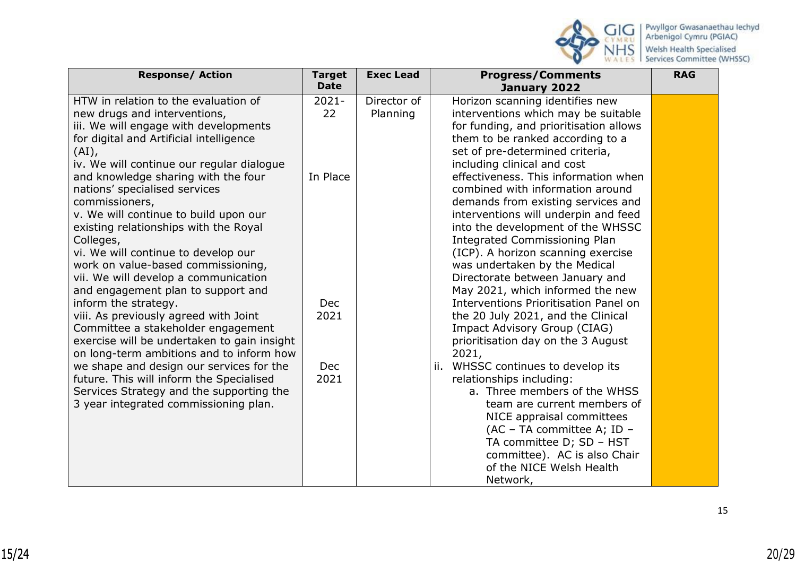

| <b>Response/ Action</b>                     | <b>Target</b> | <b>Exec Lead</b> | <b>Progress/Comments</b>               | <b>RAG</b> |
|---------------------------------------------|---------------|------------------|----------------------------------------|------------|
|                                             | <b>Date</b>   |                  | January 2022                           |            |
| HTW in relation to the evaluation of        | $2021 -$      | Director of      | Horizon scanning identifies new        |            |
| new drugs and interventions,                | 22            | Planning         | interventions which may be suitable    |            |
| iii. We will engage with developments       |               |                  | for funding, and prioritisation allows |            |
| for digital and Artificial intelligence     |               |                  | them to be ranked according to a       |            |
| $(AI)$ ,                                    |               |                  | set of pre-determined criteria,        |            |
| iv. We will continue our regular dialogue   |               |                  | including clinical and cost            |            |
| and knowledge sharing with the four         | In Place      |                  | effectiveness. This information when   |            |
| nations' specialised services               |               |                  | combined with information around       |            |
| commissioners,                              |               |                  | demands from existing services and     |            |
| v. We will continue to build upon our       |               |                  | interventions will underpin and feed   |            |
| existing relationships with the Royal       |               |                  | into the development of the WHSSC      |            |
| Colleges,                                   |               |                  | <b>Integrated Commissioning Plan</b>   |            |
| vi. We will continue to develop our         |               |                  | (ICP). A horizon scanning exercise     |            |
| work on value-based commissioning,          |               |                  | was undertaken by the Medical          |            |
| vii. We will develop a communication        |               |                  | Directorate between January and        |            |
| and engagement plan to support and          |               |                  | May 2021, which informed the new       |            |
| inform the strategy.                        | Dec           |                  | Interventions Prioritisation Panel on  |            |
| viii. As previously agreed with Joint       | 2021          |                  | the 20 July 2021, and the Clinical     |            |
| Committee a stakeholder engagement          |               |                  | Impact Advisory Group (CIAG)           |            |
| exercise will be undertaken to gain insight |               |                  | prioritisation day on the 3 August     |            |
| on long-term ambitions and to inform how    |               |                  | 2021,                                  |            |
| we shape and design our services for the    | <b>Dec</b>    |                  | WHSSC continues to develop its<br>ii.  |            |
| future. This will inform the Specialised    | 2021          |                  | relationships including:               |            |
|                                             |               |                  | a. Three members of the WHSS           |            |
| Services Strategy and the supporting the    |               |                  |                                        |            |
| 3 year integrated commissioning plan.       |               |                  | team are current members of            |            |
|                                             |               |                  | NICE appraisal committees              |            |
|                                             |               |                  | (AC - TA committee A; ID -             |            |
|                                             |               |                  | TA committee D; SD - HST               |            |
|                                             |               |                  | committee). AC is also Chair           |            |
|                                             |               |                  | of the NICE Welsh Health               |            |
|                                             |               |                  | Network,                               |            |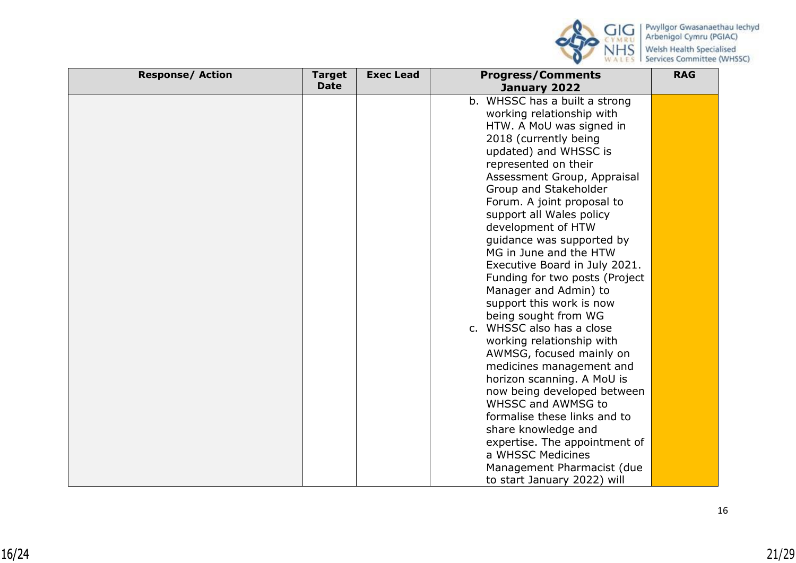

| <b>Response/ Action</b> | <b>Target</b><br><b>Date</b> | <b>Exec Lead</b> | <b>Progress/Comments</b><br>January 2022 | <b>RAG</b> |
|-------------------------|------------------------------|------------------|------------------------------------------|------------|
|                         |                              |                  | b. WHSSC has a built a strong            |            |
|                         |                              |                  | working relationship with                |            |
|                         |                              |                  | HTW. A MoU was signed in                 |            |
|                         |                              |                  | 2018 (currently being                    |            |
|                         |                              |                  | updated) and WHSSC is                    |            |
|                         |                              |                  | represented on their                     |            |
|                         |                              |                  | Assessment Group, Appraisal              |            |
|                         |                              |                  | Group and Stakeholder                    |            |
|                         |                              |                  | Forum. A joint proposal to               |            |
|                         |                              |                  | support all Wales policy                 |            |
|                         |                              |                  | development of HTW                       |            |
|                         |                              |                  | guidance was supported by                |            |
|                         |                              |                  | MG in June and the HTW                   |            |
|                         |                              |                  | Executive Board in July 2021.            |            |
|                         |                              |                  | Funding for two posts (Project           |            |
|                         |                              |                  | Manager and Admin) to                    |            |
|                         |                              |                  | support this work is now                 |            |
|                         |                              |                  | being sought from WG                     |            |
|                         |                              |                  | c. WHSSC also has a close                |            |
|                         |                              |                  | working relationship with                |            |
|                         |                              |                  | AWMSG, focused mainly on                 |            |
|                         |                              |                  | medicines management and                 |            |
|                         |                              |                  | horizon scanning. A MoU is               |            |
|                         |                              |                  | now being developed between              |            |
|                         |                              |                  | <b>WHSSC and AWMSG to</b>                |            |
|                         |                              |                  | formalise these links and to             |            |
|                         |                              |                  | share knowledge and                      |            |
|                         |                              |                  | expertise. The appointment of            |            |
|                         |                              |                  | a WHSSC Medicines                        |            |
|                         |                              |                  | Management Pharmacist (due               |            |
|                         |                              |                  | to start January 2022) will              |            |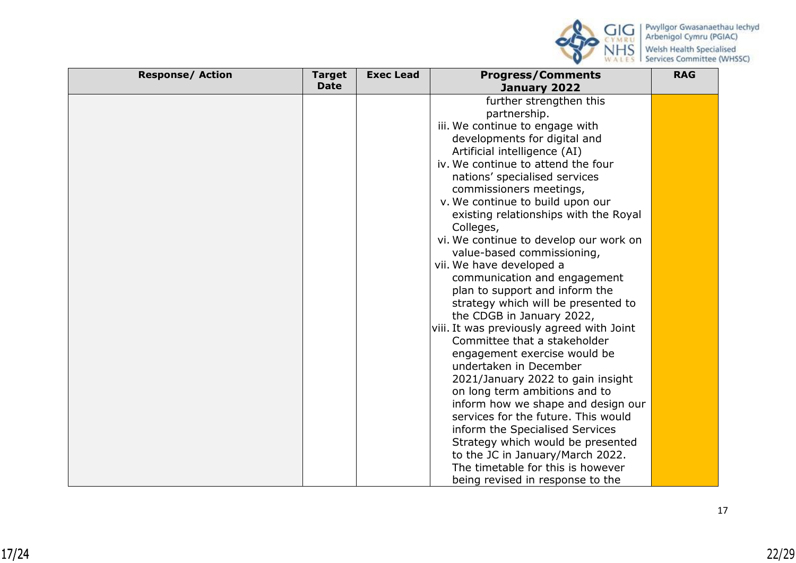

| <b>Response/ Action</b> | <b>Target</b> | <b>Exec Lead</b> | <b>Progress/Comments</b>                  | <b>RAG</b> |
|-------------------------|---------------|------------------|-------------------------------------------|------------|
|                         | <b>Date</b>   |                  | January 2022                              |            |
|                         |               |                  | further strengthen this                   |            |
|                         |               |                  | partnership.                              |            |
|                         |               |                  | iii. We continue to engage with           |            |
|                         |               |                  | developments for digital and              |            |
|                         |               |                  | Artificial intelligence (AI)              |            |
|                         |               |                  | iv. We continue to attend the four        |            |
|                         |               |                  | nations' specialised services             |            |
|                         |               |                  | commissioners meetings,                   |            |
|                         |               |                  | v. We continue to build upon our          |            |
|                         |               |                  | existing relationships with the Royal     |            |
|                         |               |                  | Colleges,                                 |            |
|                         |               |                  | vi. We continue to develop our work on    |            |
|                         |               |                  | value-based commissioning,                |            |
|                         |               |                  | vii. We have developed a                  |            |
|                         |               |                  | communication and engagement              |            |
|                         |               |                  | plan to support and inform the            |            |
|                         |               |                  | strategy which will be presented to       |            |
|                         |               |                  | the CDGB in January 2022,                 |            |
|                         |               |                  | viii. It was previously agreed with Joint |            |
|                         |               |                  | Committee that a stakeholder              |            |
|                         |               |                  | engagement exercise would be              |            |
|                         |               |                  | undertaken in December                    |            |
|                         |               |                  | 2021/January 2022 to gain insight         |            |
|                         |               |                  | on long term ambitions and to             |            |
|                         |               |                  | inform how we shape and design our        |            |
|                         |               |                  | services for the future. This would       |            |
|                         |               |                  | inform the Specialised Services           |            |
|                         |               |                  | Strategy which would be presented         |            |
|                         |               |                  | to the JC in January/March 2022.          |            |
|                         |               |                  | The timetable for this is however         |            |
|                         |               |                  | being revised in response to the          |            |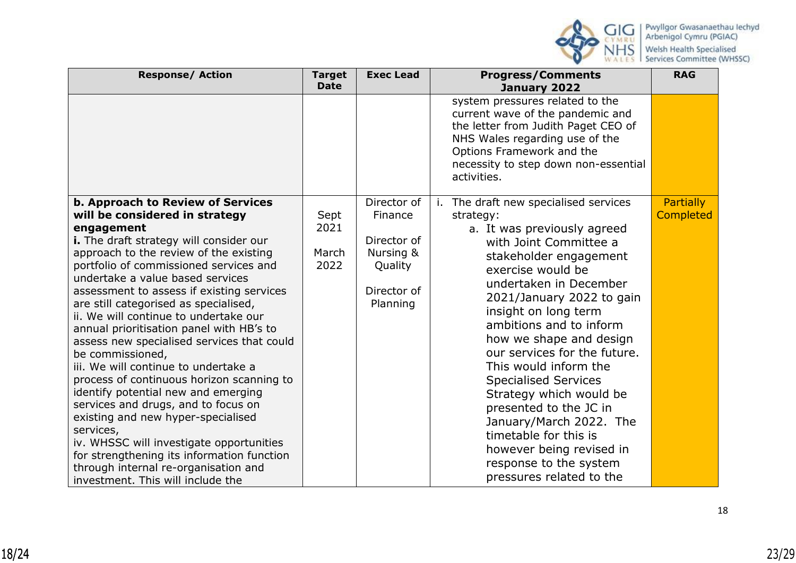

| <b>Response/ Action</b>                                                                                                                                                                                                                                                                                                                                                                                                                                                                                                                                                                                                                                                                                                                                                                                                                                                                               | <b>Target</b><br><b>Date</b>  | <b>Exec Lead</b>                                                                         | <b>Progress/Comments</b><br>January 2022                                                                                                                                                                                                                                                                                                                                                                                                                                                                                                                                           | <b>RAG</b>                           |
|-------------------------------------------------------------------------------------------------------------------------------------------------------------------------------------------------------------------------------------------------------------------------------------------------------------------------------------------------------------------------------------------------------------------------------------------------------------------------------------------------------------------------------------------------------------------------------------------------------------------------------------------------------------------------------------------------------------------------------------------------------------------------------------------------------------------------------------------------------------------------------------------------------|-------------------------------|------------------------------------------------------------------------------------------|------------------------------------------------------------------------------------------------------------------------------------------------------------------------------------------------------------------------------------------------------------------------------------------------------------------------------------------------------------------------------------------------------------------------------------------------------------------------------------------------------------------------------------------------------------------------------------|--------------------------------------|
|                                                                                                                                                                                                                                                                                                                                                                                                                                                                                                                                                                                                                                                                                                                                                                                                                                                                                                       |                               |                                                                                          | system pressures related to the<br>current wave of the pandemic and<br>the letter from Judith Paget CEO of<br>NHS Wales regarding use of the<br>Options Framework and the<br>necessity to step down non-essential<br>activities.                                                                                                                                                                                                                                                                                                                                                   |                                      |
| <b>b. Approach to Review of Services</b><br>will be considered in strategy<br>engagement<br>i. The draft strategy will consider our<br>approach to the review of the existing<br>portfolio of commissioned services and<br>undertake a value based services<br>assessment to assess if existing services<br>are still categorised as specialised,<br>ii. We will continue to undertake our<br>annual prioritisation panel with HB's to<br>assess new specialised services that could<br>be commissioned,<br>iii. We will continue to undertake a<br>process of continuous horizon scanning to<br>identify potential new and emerging<br>services and drugs, and to focus on<br>existing and new hyper-specialised<br>services,<br>iv. WHSSC will investigate opportunities<br>for strengthening its information function<br>through internal re-organisation and<br>investment. This will include the | Sept<br>2021<br>March<br>2022 | Director of<br>Finance<br>Director of<br>Nursing &<br>Quality<br>Director of<br>Planning | i. The draft new specialised services<br>strategy:<br>a. It was previously agreed<br>with Joint Committee a<br>stakeholder engagement<br>exercise would be<br>undertaken in December<br>2021/January 2022 to gain<br>insight on long term<br>ambitions and to inform<br>how we shape and design<br>our services for the future.<br>This would inform the<br><b>Specialised Services</b><br>Strategy which would be<br>presented to the JC in<br>January/March 2022. The<br>timetable for this is<br>however being revised in<br>response to the system<br>pressures related to the | <b>Partially</b><br><b>Completed</b> |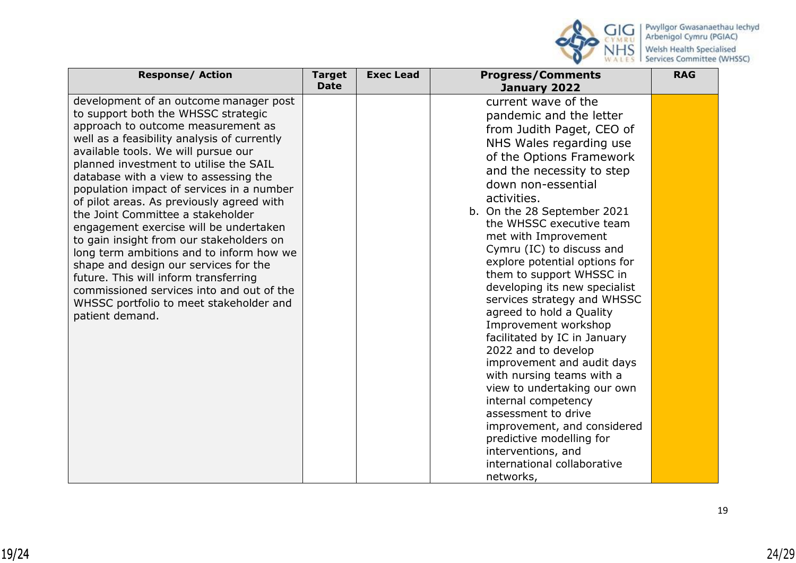

| <b>Response/ Action</b>                                                                                                                                                                                                                                                                                                                                                                                                                                                                                                                                                                                                                                                                                                                                    | <b>Target</b><br><b>Date</b> | <b>Exec Lead</b> | <b>Progress/Comments</b><br>January 2022                                                                                                                                                                                                                                                                                                                                                                                                                                                                                                                                                                                                                                                                                                                                                                                          | <b>RAG</b> |
|------------------------------------------------------------------------------------------------------------------------------------------------------------------------------------------------------------------------------------------------------------------------------------------------------------------------------------------------------------------------------------------------------------------------------------------------------------------------------------------------------------------------------------------------------------------------------------------------------------------------------------------------------------------------------------------------------------------------------------------------------------|------------------------------|------------------|-----------------------------------------------------------------------------------------------------------------------------------------------------------------------------------------------------------------------------------------------------------------------------------------------------------------------------------------------------------------------------------------------------------------------------------------------------------------------------------------------------------------------------------------------------------------------------------------------------------------------------------------------------------------------------------------------------------------------------------------------------------------------------------------------------------------------------------|------------|
| development of an outcome manager post<br>to support both the WHSSC strategic<br>approach to outcome measurement as<br>well as a feasibility analysis of currently<br>available tools. We will pursue our<br>planned investment to utilise the SAIL<br>database with a view to assessing the<br>population impact of services in a number<br>of pilot areas. As previously agreed with<br>the Joint Committee a stakeholder<br>engagement exercise will be undertaken<br>to gain insight from our stakeholders on<br>long term ambitions and to inform how we<br>shape and design our services for the<br>future. This will inform transferring<br>commissioned services into and out of the<br>WHSSC portfolio to meet stakeholder and<br>patient demand. |                              |                  | current wave of the<br>pandemic and the letter<br>from Judith Paget, CEO of<br>NHS Wales regarding use<br>of the Options Framework<br>and the necessity to step<br>down non-essential<br>activities.<br>b. On the 28 September 2021<br>the WHSSC executive team<br>met with Improvement<br>Cymru (IC) to discuss and<br>explore potential options for<br>them to support WHSSC in<br>developing its new specialist<br>services strategy and WHSSC<br>agreed to hold a Quality<br>Improvement workshop<br>facilitated by IC in January<br>2022 and to develop<br>improvement and audit days<br>with nursing teams with a<br>view to undertaking our own<br>internal competency<br>assessment to drive<br>improvement, and considered<br>predictive modelling for<br>interventions, and<br>international collaborative<br>networks, |            |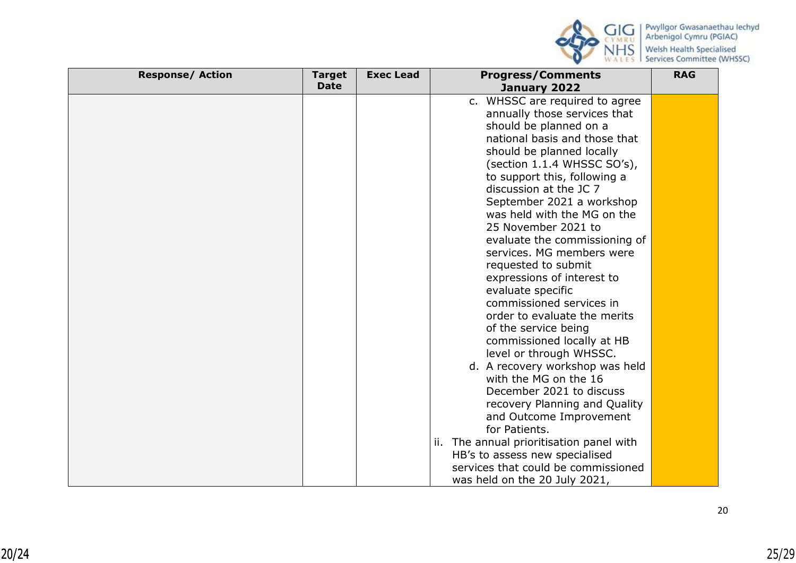

| <b>Response/ Action</b> | <b>Target</b> | <b>Exec Lead</b> | <b>Progress/Comments</b>                 | <b>RAG</b> |
|-------------------------|---------------|------------------|------------------------------------------|------------|
|                         | <b>Date</b>   |                  | January 2022                             |            |
|                         |               |                  | c. WHSSC are required to agree           |            |
|                         |               |                  | annually those services that             |            |
|                         |               |                  | should be planned on a                   |            |
|                         |               |                  | national basis and those that            |            |
|                         |               |                  | should be planned locally                |            |
|                         |               |                  | (section 1.1.4 WHSSC SO's),              |            |
|                         |               |                  | to support this, following a             |            |
|                         |               |                  | discussion at the JC 7                   |            |
|                         |               |                  | September 2021 a workshop                |            |
|                         |               |                  | was held with the MG on the              |            |
|                         |               |                  | 25 November 2021 to                      |            |
|                         |               |                  | evaluate the commissioning of            |            |
|                         |               |                  | services. MG members were                |            |
|                         |               |                  | requested to submit                      |            |
|                         |               |                  | expressions of interest to               |            |
|                         |               |                  | evaluate specific                        |            |
|                         |               |                  | commissioned services in                 |            |
|                         |               |                  | order to evaluate the merits             |            |
|                         |               |                  | of the service being                     |            |
|                         |               |                  | commissioned locally at HB               |            |
|                         |               |                  | level or through WHSSC.                  |            |
|                         |               |                  | d. A recovery workshop was held          |            |
|                         |               |                  | with the MG on the 16                    |            |
|                         |               |                  | December 2021 to discuss                 |            |
|                         |               |                  | recovery Planning and Quality            |            |
|                         |               |                  | and Outcome Improvement                  |            |
|                         |               |                  | for Patients.                            |            |
|                         |               |                  | ii. The annual prioritisation panel with |            |
|                         |               |                  | HB's to assess new specialised           |            |
|                         |               |                  | services that could be commissioned      |            |
|                         |               |                  | was held on the 20 July 2021,            |            |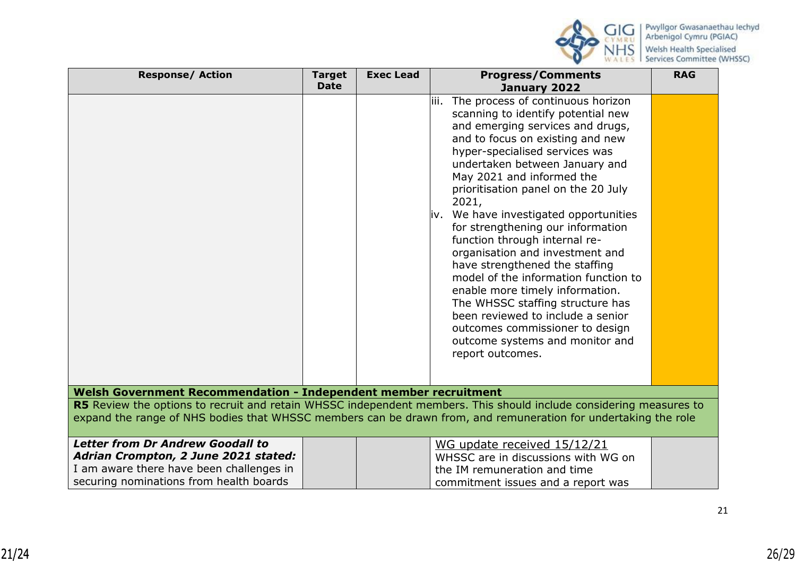

| <b>Response/ Action</b>                                                                                                                                                                                                              | <b>Target</b> | <b>Exec Lead</b> | <b>Progress/Comments</b>                                                                                                                                                                                                                                                                                                                                                                                                                                                                                                                                                                                                                                                                                                                     | <b>RAG</b> |
|--------------------------------------------------------------------------------------------------------------------------------------------------------------------------------------------------------------------------------------|---------------|------------------|----------------------------------------------------------------------------------------------------------------------------------------------------------------------------------------------------------------------------------------------------------------------------------------------------------------------------------------------------------------------------------------------------------------------------------------------------------------------------------------------------------------------------------------------------------------------------------------------------------------------------------------------------------------------------------------------------------------------------------------------|------------|
|                                                                                                                                                                                                                                      | <b>Date</b>   |                  | January 2022                                                                                                                                                                                                                                                                                                                                                                                                                                                                                                                                                                                                                                                                                                                                 |            |
|                                                                                                                                                                                                                                      |               |                  | The process of continuous horizon<br>liii.<br>scanning to identify potential new<br>and emerging services and drugs,<br>and to focus on existing and new<br>hyper-specialised services was<br>undertaken between January and<br>May 2021 and informed the<br>prioritisation panel on the 20 July<br>2021,<br>iv. We have investigated opportunities<br>for strengthening our information<br>function through internal re-<br>organisation and investment and<br>have strengthened the staffing<br>model of the information function to<br>enable more timely information.<br>The WHSSC staffing structure has<br>been reviewed to include a senior<br>outcomes commissioner to design<br>outcome systems and monitor and<br>report outcomes. |            |
| Welsh Government Recommendation - Independent member recruitment                                                                                                                                                                     |               |                  |                                                                                                                                                                                                                                                                                                                                                                                                                                                                                                                                                                                                                                                                                                                                              |            |
| R5 Review the options to recruit and retain WHSSC independent members. This should include considering measures to<br>expand the range of NHS bodies that WHSSC members can be drawn from, and remuneration for undertaking the role |               |                  |                                                                                                                                                                                                                                                                                                                                                                                                                                                                                                                                                                                                                                                                                                                                              |            |
| <b>Letter from Dr Andrew Goodall to</b><br>Adrian Crompton, 2 June 2021 stated:<br>I am aware there have been challenges in<br>securing nominations from health boards                                                               |               |                  | WG update received 15/12/21<br>WHSSC are in discussions with WG on<br>the IM remuneration and time<br>commitment issues and a report was                                                                                                                                                                                                                                                                                                                                                                                                                                                                                                                                                                                                     |            |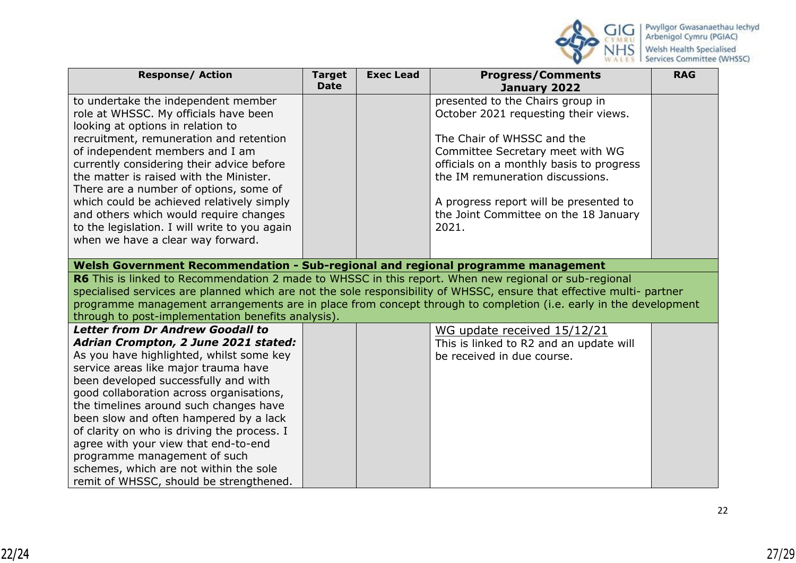

| <b>Response/ Action</b>                                                                                                                                                                                                                   | <b>Target</b><br><b>Date</b> | <b>Exec Lead</b> | <b>Progress/Comments</b><br>January 2022 | <b>RAG</b> |  |  |
|-------------------------------------------------------------------------------------------------------------------------------------------------------------------------------------------------------------------------------------------|------------------------------|------------------|------------------------------------------|------------|--|--|
| to undertake the independent member                                                                                                                                                                                                       |                              |                  | presented to the Chairs group in         |            |  |  |
| role at WHSSC. My officials have been                                                                                                                                                                                                     |                              |                  | October 2021 requesting their views.     |            |  |  |
| looking at options in relation to                                                                                                                                                                                                         |                              |                  |                                          |            |  |  |
| recruitment, remuneration and retention                                                                                                                                                                                                   |                              |                  | The Chair of WHSSC and the               |            |  |  |
| of independent members and I am                                                                                                                                                                                                           |                              |                  | Committee Secretary meet with WG         |            |  |  |
| currently considering their advice before                                                                                                                                                                                                 |                              |                  | officials on a monthly basis to progress |            |  |  |
| the matter is raised with the Minister.                                                                                                                                                                                                   |                              |                  | the IM remuneration discussions.         |            |  |  |
| There are a number of options, some of                                                                                                                                                                                                    |                              |                  |                                          |            |  |  |
| which could be achieved relatively simply                                                                                                                                                                                                 |                              |                  | A progress report will be presented to   |            |  |  |
| and others which would require changes                                                                                                                                                                                                    |                              |                  | the Joint Committee on the 18 January    |            |  |  |
| to the legislation. I will write to you again                                                                                                                                                                                             |                              |                  | 2021.                                    |            |  |  |
| when we have a clear way forward.                                                                                                                                                                                                         |                              |                  |                                          |            |  |  |
|                                                                                                                                                                                                                                           |                              |                  |                                          |            |  |  |
| Welsh Government Recommendation - Sub-regional and regional programme management                                                                                                                                                          |                              |                  |                                          |            |  |  |
| R6 This is linked to Recommendation 2 made to WHSSC in this report. When new regional or sub-regional                                                                                                                                     |                              |                  |                                          |            |  |  |
| specialised services are planned which are not the sole responsibility of WHSSC, ensure that effective multi- partner<br>programme management arrangements are in place from concept through to completion (i.e. early in the development |                              |                  |                                          |            |  |  |
| through to post-implementation benefits analysis).                                                                                                                                                                                        |                              |                  |                                          |            |  |  |
| Letter from Dr Andrew Goodall to                                                                                                                                                                                                          |                              |                  | WG update received 15/12/21              |            |  |  |
| Adrian Crompton, 2 June 2021 stated:                                                                                                                                                                                                      |                              |                  | This is linked to R2 and an update will  |            |  |  |
| As you have highlighted, whilst some key                                                                                                                                                                                                  |                              |                  | be received in due course.               |            |  |  |
| service areas like major trauma have                                                                                                                                                                                                      |                              |                  |                                          |            |  |  |
| been developed successfully and with                                                                                                                                                                                                      |                              |                  |                                          |            |  |  |
| good collaboration across organisations,                                                                                                                                                                                                  |                              |                  |                                          |            |  |  |
| the timelines around such changes have                                                                                                                                                                                                    |                              |                  |                                          |            |  |  |
| been slow and often hampered by a lack                                                                                                                                                                                                    |                              |                  |                                          |            |  |  |
| of clarity on who is driving the process. I                                                                                                                                                                                               |                              |                  |                                          |            |  |  |
| agree with your view that end-to-end                                                                                                                                                                                                      |                              |                  |                                          |            |  |  |
| programme management of such                                                                                                                                                                                                              |                              |                  |                                          |            |  |  |
| schemes, which are not within the sole                                                                                                                                                                                                    |                              |                  |                                          |            |  |  |
| remit of WHSSC, should be strengthened.                                                                                                                                                                                                   |                              |                  |                                          |            |  |  |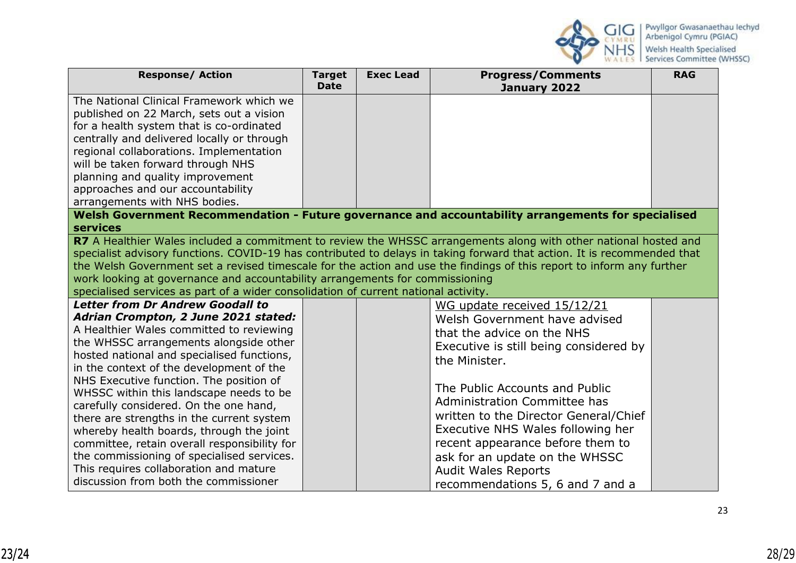

| <b>Response/ Action</b>                                                                                                              | <b>Target</b> | <b>Exec Lead</b> | <b>Progress/Comments</b>               | <b>RAG</b> |  |  |
|--------------------------------------------------------------------------------------------------------------------------------------|---------------|------------------|----------------------------------------|------------|--|--|
|                                                                                                                                      | <b>Date</b>   |                  | January 2022                           |            |  |  |
| The National Clinical Framework which we                                                                                             |               |                  |                                        |            |  |  |
| published on 22 March, sets out a vision                                                                                             |               |                  |                                        |            |  |  |
| for a health system that is co-ordinated                                                                                             |               |                  |                                        |            |  |  |
| centrally and delivered locally or through                                                                                           |               |                  |                                        |            |  |  |
| regional collaborations. Implementation                                                                                              |               |                  |                                        |            |  |  |
| will be taken forward through NHS                                                                                                    |               |                  |                                        |            |  |  |
| planning and quality improvement                                                                                                     |               |                  |                                        |            |  |  |
| approaches and our accountability                                                                                                    |               |                  |                                        |            |  |  |
| arrangements with NHS bodies.<br>Welsh Government Recommendation - Future governance and accountability arrangements for specialised |               |                  |                                        |            |  |  |
| <b>services</b>                                                                                                                      |               |                  |                                        |            |  |  |
| R7 A Healthier Wales included a commitment to review the WHSSC arrangements along with other national hosted and                     |               |                  |                                        |            |  |  |
| specialist advisory functions. COVID-19 has contributed to delays in taking forward that action. It is recommended that              |               |                  |                                        |            |  |  |
| the Welsh Government set a revised timescale for the action and use the findings of this report to inform any further                |               |                  |                                        |            |  |  |
| work looking at governance and accountability arrangements for commissioning                                                         |               |                  |                                        |            |  |  |
| specialised services as part of a wider consolidation of current national activity.                                                  |               |                  |                                        |            |  |  |
| <b>Letter from Dr Andrew Goodall to</b>                                                                                              |               |                  | WG update received 15/12/21            |            |  |  |
| Adrian Crompton, 2 June 2021 stated:                                                                                                 |               |                  | Welsh Government have advised          |            |  |  |
| A Healthier Wales committed to reviewing                                                                                             |               |                  | that the advice on the NHS             |            |  |  |
| the WHSSC arrangements alongside other                                                                                               |               |                  | Executive is still being considered by |            |  |  |
| hosted national and specialised functions,                                                                                           |               |                  | the Minister.                          |            |  |  |
| in the context of the development of the                                                                                             |               |                  |                                        |            |  |  |
| NHS Executive function. The position of                                                                                              |               |                  | The Public Accounts and Public         |            |  |  |
| WHSSC within this landscape needs to be                                                                                              |               |                  | Administration Committee has           |            |  |  |
| carefully considered. On the one hand,                                                                                               |               |                  | written to the Director General/Chief  |            |  |  |
| there are strengths in the current system<br>whereby health boards, through the joint                                                |               |                  | Executive NHS Wales following her      |            |  |  |
| committee, retain overall responsibility for                                                                                         |               |                  | recent appearance before them to       |            |  |  |
| the commissioning of specialised services.                                                                                           |               |                  | ask for an update on the WHSSC         |            |  |  |
| This requires collaboration and mature                                                                                               |               |                  |                                        |            |  |  |
| discussion from both the commissioner                                                                                                |               |                  | <b>Audit Wales Reports</b>             |            |  |  |
|                                                                                                                                      |               |                  | recommendations 5, 6 and 7 and a       |            |  |  |